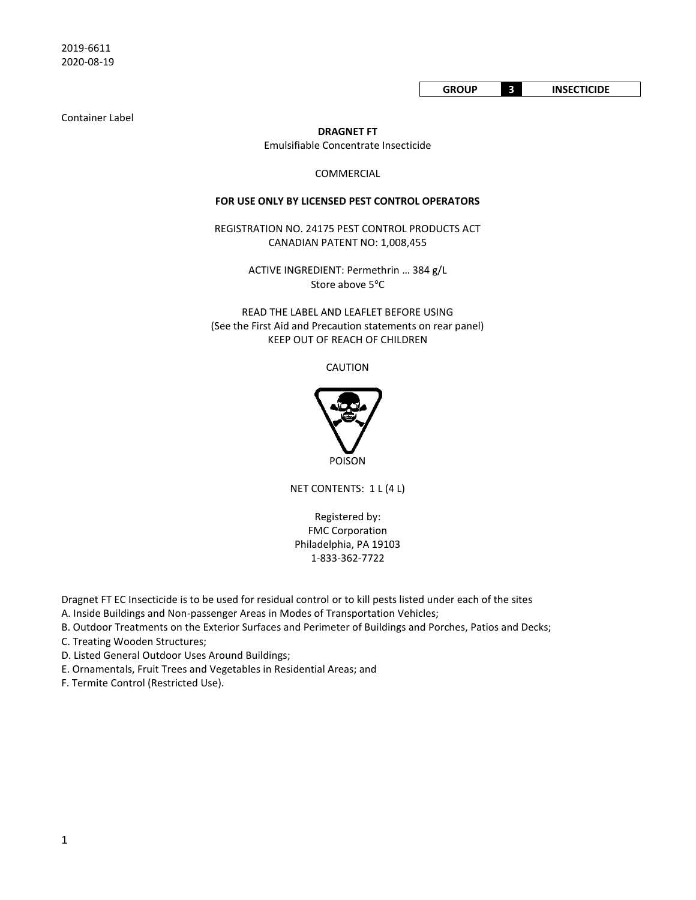Container Label

**DRAGNET FT**

Emulsifiable Concentrate Insecticide

COMMERCIAL

#### **FOR USE ONLY BY LICENSED PEST CONTROL OPERATORS**

REGISTRATION NO. 24175 PEST CONTROL PRODUCTS ACT CANADIAN PATENT NO: 1,008,455

> ACTIVE INGREDIENT: Permethrin … 384 g/L Store above 5°C

READ THE LABEL AND LEAFLET BEFORE USING (See the First Aid and Precaution statements on rear panel) KEEP OUT OF REACH OF CHILDREN

CAUTION



NET CONTENTS: 1 L (4 L)

Registered by: FMC Corporation Philadelphia, PA 19103 1-833-362-7722

Dragnet FT EC Insecticide is to be used for residual control or to kill pests listed under each of the sites

A. Inside Buildings and Non-passenger Areas in Modes of Transportation Vehicles;

B. Outdoor Treatments on the Exterior Surfaces and Perimeter of Buildings and Porches, Patios and Decks;

C. Treating Wooden Structures;

D. Listed General Outdoor Uses Around Buildings;

E. Ornamentals, Fruit Trees and Vegetables in Residential Areas; and

F. Termite Control (Restricted Use).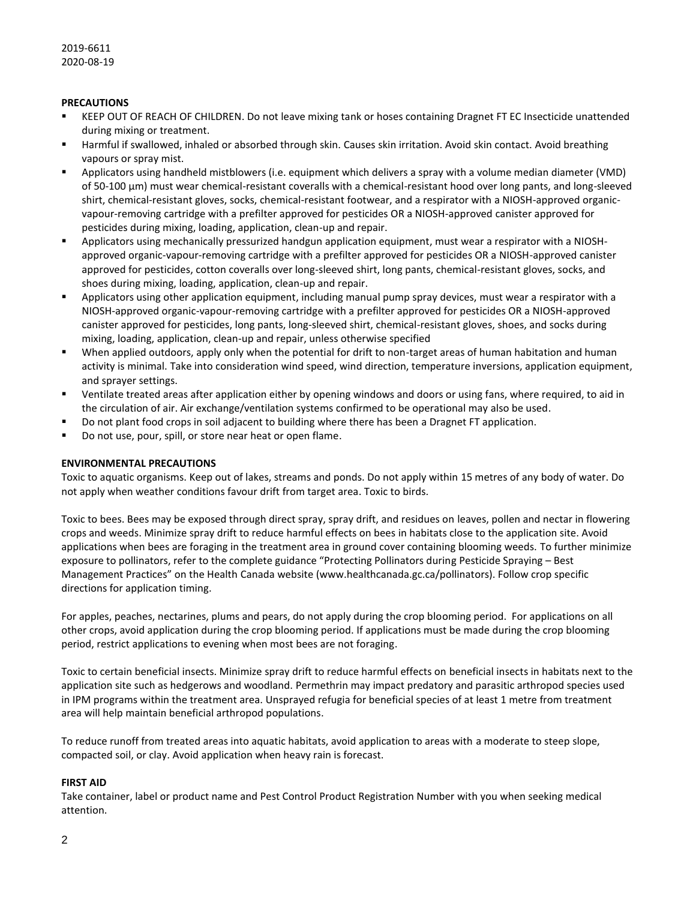# **PRECAUTIONS**

- KEEP OUT OF REACH OF CHILDREN. Do not leave mixing tank or hoses containing Dragnet FT EC Insecticide unattended during mixing or treatment.
- Harmful if swallowed, inhaled or absorbed through skin. Causes skin irritation. Avoid skin contact. Avoid breathing vapours or spray mist.
- Applicators using handheld mistblowers (i.e. equipment which delivers a spray with a volume median diameter (VMD) of 50-100 µm) must wear chemical-resistant coveralls with a chemical-resistant hood over long pants, and long-sleeved shirt, chemical-resistant gloves, socks, chemical-resistant footwear, and a respirator with a NIOSH-approved organicvapour-removing cartridge with a prefilter approved for pesticides OR a NIOSH-approved canister approved for pesticides during mixing, loading, application, clean-up and repair.
- Applicators using mechanically pressurized handgun application equipment, must wear a respirator with a NIOSHapproved organic-vapour-removing cartridge with a prefilter approved for pesticides OR a NIOSH-approved canister approved for pesticides, cotton coveralls over long-sleeved shirt, long pants, chemical-resistant gloves, socks, and shoes during mixing, loading, application, clean-up and repair.
- Applicators using other application equipment, including manual pump spray devices, must wear a respirator with a NIOSH-approved organic-vapour-removing cartridge with a prefilter approved for pesticides OR a NIOSH-approved canister approved for pesticides, long pants, long-sleeved shirt, chemical-resistant gloves, shoes, and socks during mixing, loading, application, clean-up and repair, unless otherwise specified
- When applied outdoors, apply only when the potential for drift to non-target areas of human habitation and human activity is minimal. Take into consideration wind speed, wind direction, temperature inversions, application equipment, and sprayer settings.
- Ventilate treated areas after application either by opening windows and doors or using fans, where required, to aid in the circulation of air. Air exchange/ventilation systems confirmed to be operational may also be used.
- Do not plant food crops in soil adjacent to building where there has been a Dragnet FT application.
- Do not use, pour, spill, or store near heat or open flame.

#### **ENVIRONMENTAL PRECAUTIONS**

Toxic to aquatic organisms. Keep out of lakes, streams and ponds. Do not apply within 15 metres of any body of water. Do not apply when weather conditions favour drift from target area. Toxic to birds.

Toxic to bees. Bees may be exposed through direct spray, spray drift, and residues on leaves, pollen and nectar in flowering crops and weeds. Minimize spray drift to reduce harmful effects on bees in habitats close to the application site. Avoid applications when bees are foraging in the treatment area in ground cover containing blooming weeds. To further minimize exposure to pollinators, refer to the complete guidance "Protecting Pollinators during Pesticide Spraying – Best Management Practices" on the Health Canada website (www.healthcanada.gc.ca/pollinators). Follow crop specific directions for application timing.

For apples, peaches, nectarines, plums and pears, do not apply during the crop blooming period. For applications on all other crops, avoid application during the crop blooming period. If applications must be made during the crop blooming period, restrict applications to evening when most bees are not foraging.

Toxic to certain beneficial insects. Minimize spray drift to reduce harmful effects on beneficial insects in habitats next to the application site such as hedgerows and woodland. Permethrin may impact predatory and parasitic arthropod species used in IPM programs within the treatment area. Unsprayed refugia for beneficial species of at least 1 metre from treatment area will help maintain beneficial arthropod populations.

To reduce runoff from treated areas into aquatic habitats, avoid application to areas with a moderate to steep slope, compacted soil, or clay. Avoid application when heavy rain is forecast.

#### **FIRST AID**

Take container, label or product name and Pest Control Product Registration Number with you when seeking medical attention.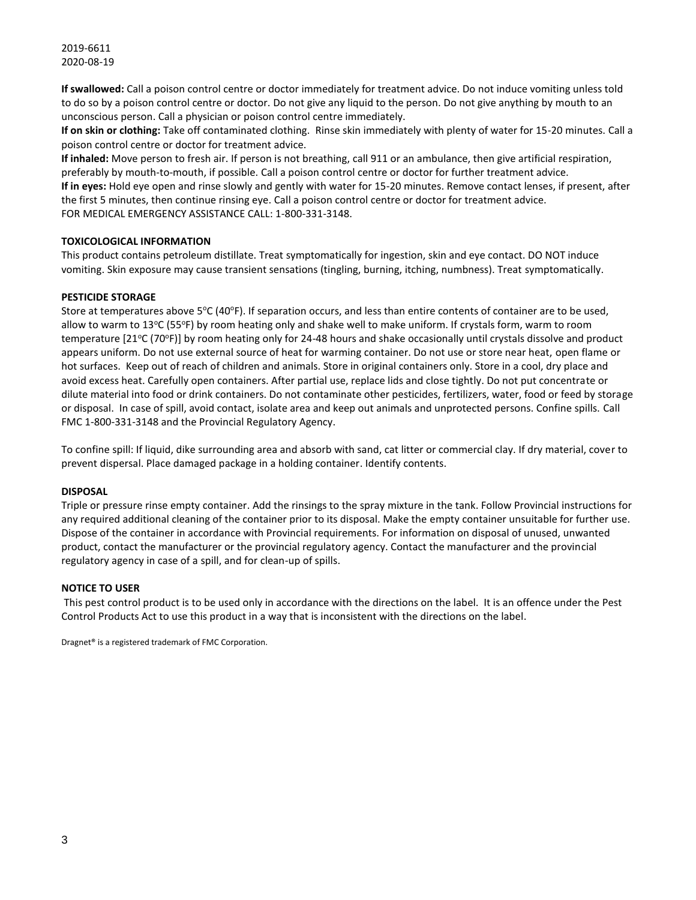**If swallowed:** Call a poison control centre or doctor immediately for treatment advice. Do not induce vomiting unless told to do so by a poison control centre or doctor. Do not give any liquid to the person. Do not give anything by mouth to an unconscious person. Call a physician or poison control centre immediately.

**If on skin or clothing:** Take off contaminated clothing. Rinse skin immediately with plenty of water for 15-20 minutes. Call a poison control centre or doctor for treatment advice.

**If inhaled:** Move person to fresh air. If person is not breathing, call 911 or an ambulance, then give artificial respiration, preferably by mouth-to-mouth, if possible. Call a poison control centre or doctor for further treatment advice. **If in eyes:** Hold eye open and rinse slowly and gently with water for 15-20 minutes. Remove contact lenses, if present, after the first 5 minutes, then continue rinsing eye. Call a poison control centre or doctor for treatment advice. FOR MEDICAL EMERGENCY ASSISTANCE CALL: 1-800-331-3148.

#### **TOXICOLOGICAL INFORMATION**

This product contains petroleum distillate. Treat symptomatically for ingestion, skin and eye contact. DO NOT induce vomiting. Skin exposure may cause transient sensations (tingling, burning, itching, numbness). Treat symptomatically.

#### **PESTICIDE STORAGE**

Store at temperatures above 5°C (40°F). If separation occurs, and less than entire contents of container are to be used, allow to warm to 13°C (55°F) by room heating only and shake well to make uniform. If crystals form, warm to room temperature [21°C (70°F)] by room heating only for 24-48 hours and shake occasionally until crystals dissolve and product appears uniform. Do not use external source of heat for warming container. Do not use or store near heat, open flame or hot surfaces. Keep out of reach of children and animals. Store in original containers only. Store in a cool, dry place and avoid excess heat. Carefully open containers. After partial use, replace lids and close tightly. Do not put concentrate or dilute material into food or drink containers. Do not contaminate other pesticides, fertilizers, water, food or feed by storage or disposal. In case of spill, avoid contact, isolate area and keep out animals and unprotected persons. Confine spills. Call FMC 1-800-331-3148 and the Provincial Regulatory Agency.

To confine spill: If liquid, dike surrounding area and absorb with sand, cat litter or commercial clay. If dry material, cover to prevent dispersal. Place damaged package in a holding container. Identify contents.

#### **DISPOSAL**

Triple or pressure rinse empty container. Add the rinsings to the spray mixture in the tank. Follow Provincial instructions for any required additional cleaning of the container prior to its disposal. Make the empty container unsuitable for further use. Dispose of the container in accordance with Provincial requirements. For information on disposal of unused, unwanted product, contact the manufacturer or the provincial regulatory agency. Contact the manufacturer and the provincial regulatory agency in case of a spill, and for clean-up of spills.

#### **NOTICE TO USER**

This pest control product is to be used only in accordance with the directions on the label. It is an offence under the Pest Control Products Act to use this product in a way that is inconsistent with the directions on the label.

Dragnet® is a registered trademark of FMC Corporation.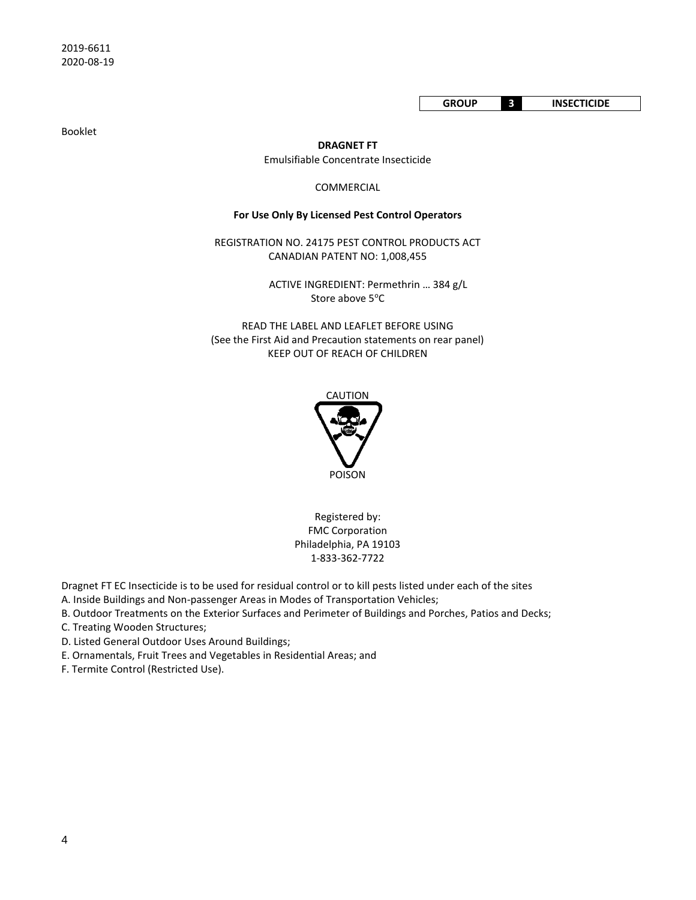**GROUP 3 INSECTICIDE**

Booklet

**DRAGNET FT** Emulsifiable Concentrate Insecticide

#### COMMERCIAL

#### **For Use Only By Licensed Pest Control Operators**

REGISTRATION NO. 24175 PEST CONTROL PRODUCTS ACT CANADIAN PATENT NO: 1,008,455

> ACTIVE INGREDIENT: Permethrin … 384 g/L Store above 5°C

READ THE LABEL AND LEAFLET BEFORE USING (See the First Aid and Precaution statements on rear panel) KEEP OUT OF REACH OF CHILDREN



Registered by: FMC Corporation Philadelphia, PA 19103 1-833-362-7722

Dragnet FT EC Insecticide is to be used for residual control or to kill pests listed under each of the sites

A. Inside Buildings and Non-passenger Areas in Modes of Transportation Vehicles;

- B. Outdoor Treatments on the Exterior Surfaces and Perimeter of Buildings and Porches, Patios and Decks;
- C. Treating Wooden Structures;

D. Listed General Outdoor Uses Around Buildings;

- E. Ornamentals, Fruit Trees and Vegetables in Residential Areas; and
- F. Termite Control (Restricted Use).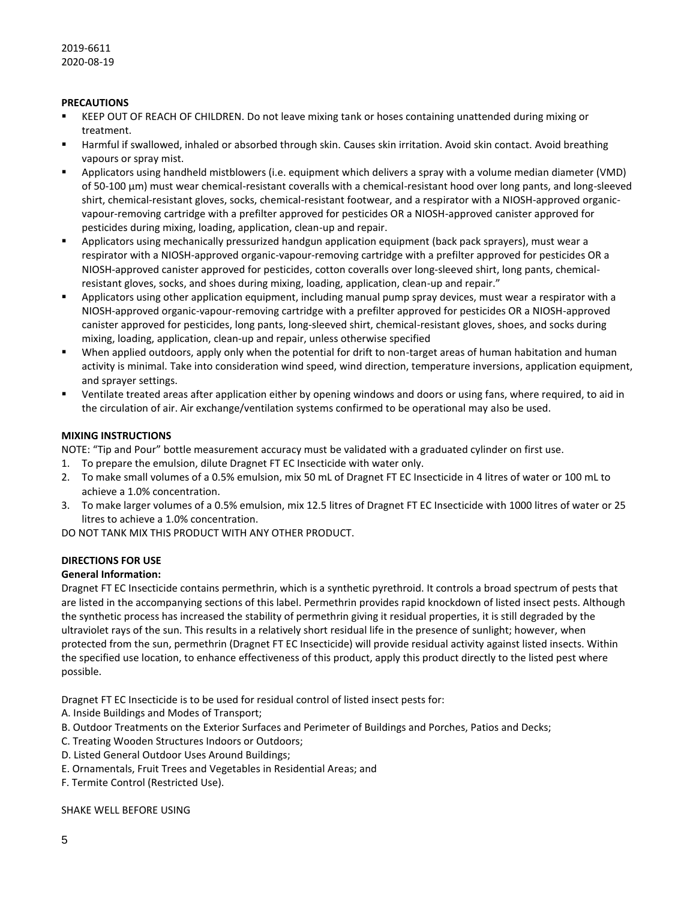# **PRECAUTIONS**

- KEEP OUT OF REACH OF CHILDREN. Do not leave mixing tank or hoses containing unattended during mixing or treatment.
- Harmful if swallowed, inhaled or absorbed through skin. Causes skin irritation. Avoid skin contact. Avoid breathing vapours or spray mist.
- Applicators using handheld mistblowers (i.e. equipment which delivers a spray with a volume median diameter (VMD) of 50-100 µm) must wear chemical-resistant coveralls with a chemical-resistant hood over long pants, and long-sleeved shirt, chemical-resistant gloves, socks, chemical-resistant footwear, and a respirator with a NIOSH-approved organicvapour-removing cartridge with a prefilter approved for pesticides OR a NIOSH-approved canister approved for pesticides during mixing, loading, application, clean-up and repair.
- Applicators using mechanically pressurized handgun application equipment (back pack sprayers), must wear a respirator with a NIOSH-approved organic-vapour-removing cartridge with a prefilter approved for pesticides OR a NIOSH-approved canister approved for pesticides, cotton coveralls over long-sleeved shirt, long pants, chemicalresistant gloves, socks, and shoes during mixing, loading, application, clean-up and repair."
- Applicators using other application equipment, including manual pump spray devices, must wear a respirator with a NIOSH-approved organic-vapour-removing cartridge with a prefilter approved for pesticides OR a NIOSH-approved canister approved for pesticides, long pants, long-sleeved shirt, chemical-resistant gloves, shoes, and socks during mixing, loading, application, clean-up and repair, unless otherwise specified
- When applied outdoors, apply only when the potential for drift to non-target areas of human habitation and human activity is minimal. Take into consideration wind speed, wind direction, temperature inversions, application equipment, and sprayer settings.
- Ventilate treated areas after application either by opening windows and doors or using fans, where required, to aid in the circulation of air. Air exchange/ventilation systems confirmed to be operational may also be used.

# **MIXING INSTRUCTIONS**

NOTE: "Tip and Pour" bottle measurement accuracy must be validated with a graduated cylinder on first use.

- 1. To prepare the emulsion, dilute Dragnet FT EC Insecticide with water only.
- 2. To make small volumes of a 0.5% emulsion, mix 50 mL of Dragnet FT EC Insecticide in 4 litres of water or 100 mL to achieve a 1.0% concentration.
- 3. To make larger volumes of a 0.5% emulsion, mix 12.5 litres of Dragnet FT EC Insecticide with 1000 litres of water or 25 litres to achieve a 1.0% concentration.

DO NOT TANK MIX THIS PRODUCT WITH ANY OTHER PRODUCT.

# **DIRECTIONS FOR USE**

# **General Information:**

Dragnet FT EC Insecticide contains permethrin, which is a synthetic pyrethroid. It controls a broad spectrum of pests that are listed in the accompanying sections of this label. Permethrin provides rapid knockdown of listed insect pests. Although the synthetic process has increased the stability of permethrin giving it residual properties, it is still degraded by the ultraviolet rays of the sun. This results in a relatively short residual life in the presence of sunlight; however, when protected from the sun, permethrin (Dragnet FT EC Insecticide) will provide residual activity against listed insects. Within the specified use location, to enhance effectiveness of this product, apply this product directly to the listed pest where possible.

Dragnet FT EC Insecticide is to be used for residual control of listed insect pests for:

- A. Inside Buildings and Modes of Transport;
- B. Outdoor Treatments on the Exterior Surfaces and Perimeter of Buildings and Porches, Patios and Decks;
- C. Treating Wooden Structures Indoors or Outdoors;
- D. Listed General Outdoor Uses Around Buildings;
- E. Ornamentals, Fruit Trees and Vegetables in Residential Areas; and
- F. Termite Control (Restricted Use).

# SHAKE WELL BEFORE USING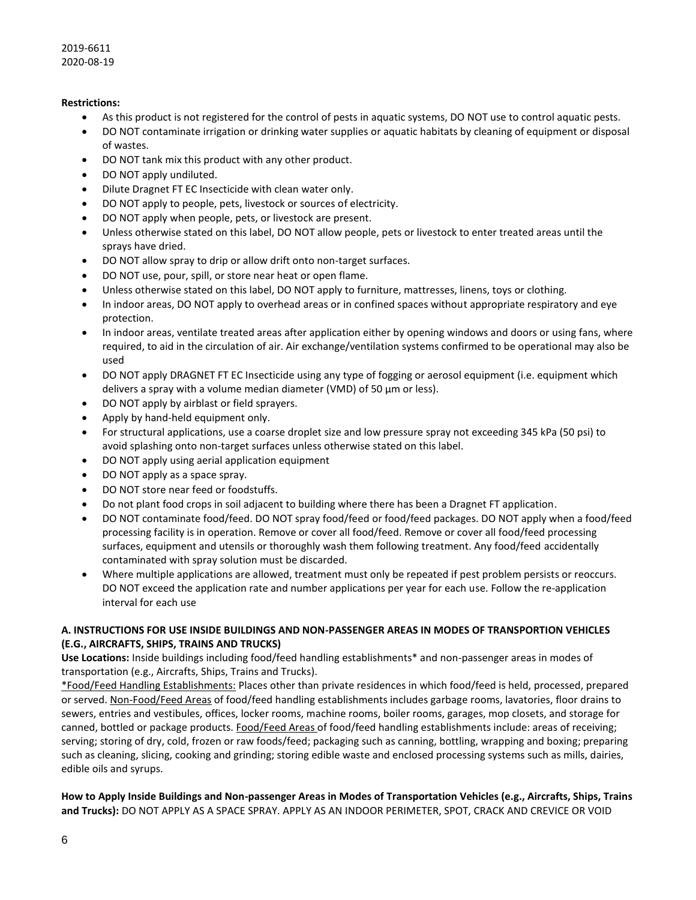# **Restrictions:**

- As this product is not registered for the control of pests in aquatic systems, DO NOT use to control aquatic pests.
- DO NOT contaminate irrigation or drinking water supplies or aquatic habitats by cleaning of equipment or disposal of wastes.
- DO NOT tank mix this product with any other product.
- DO NOT apply undiluted.
- Dilute Dragnet FT EC Insecticide with clean water only.
- DO NOT apply to people, pets, livestock or sources of electricity.
- DO NOT apply when people, pets, or livestock are present.
- Unless otherwise stated on this label, DO NOT allow people, pets or livestock to enter treated areas until the sprays have dried.
- DO NOT allow spray to drip or allow drift onto non-target surfaces.
- DO NOT use, pour, spill, or store near heat or open flame.
- Unless otherwise stated on this label, DO NOT apply to furniture, mattresses, linens, toys or clothing.
- In indoor areas, DO NOT apply to overhead areas or in confined spaces without appropriate respiratory and eye protection.
- In indoor areas, ventilate treated areas after application either by opening windows and doors or using fans, where required, to aid in the circulation of air. Air exchange/ventilation systems confirmed to be operational may also be used
- DO NOT apply DRAGNET FT EC Insecticide using any type of fogging or aerosol equipment (i.e. equipment which delivers a spray with a volume median diameter (VMD) of 50 µm or less).
- DO NOT apply by airblast or field sprayers.
- Apply by hand-held equipment only.
- For structural applications, use a coarse droplet size and low pressure spray not exceeding 345 kPa (50 psi) to avoid splashing onto non-target surfaces unless otherwise stated on this label.
- DO NOT apply using aerial application equipment
- DO NOT apply as a space spray.
- DO NOT store near feed or foodstuffs.
- Do not plant food crops in soil adjacent to building where there has been a Dragnet FT application.
- DO NOT contaminate food/feed. DO NOT spray food/feed or food/feed packages. DO NOT apply when a food/feed processing facility is in operation. Remove or cover all food/feed. Remove or cover all food/feed processing surfaces, equipment and utensils or thoroughly wash them following treatment. Any food/feed accidentally contaminated with spray solution must be discarded.
- Where multiple applications are allowed, treatment must only be repeated if pest problem persists or reoccurs. DO NOT exceed the application rate and number applications per year for each use. Follow the re-application interval for each use

# **A. INSTRUCTIONS FOR USE INSIDE BUILDINGS AND NON-PASSENGER AREAS IN MODES OF TRANSPORTION VEHICLES (E.G., AIRCRAFTS, SHIPS, TRAINS AND TRUCKS)**

**Use Locations:** Inside buildings including food/feed handling establishments\* and non-passenger areas in modes of transportation (e.g., Aircrafts, Ships, Trains and Trucks).

\*Food/Feed Handling Establishments: Places other than private residences in which food/feed is held, processed, prepared or served. Non-Food/Feed Areas of food/feed handling establishments includes garbage rooms, lavatories, floor drains to sewers, entries and vestibules, offices, locker rooms, machine rooms, boiler rooms, garages, mop closets, and storage for canned, bottled or package products. Food/Feed Areas of food/feed handling establishments include: areas of receiving; serving; storing of dry, cold, frozen or raw foods/feed; packaging such as canning, bottling, wrapping and boxing; preparing such as cleaning, slicing, cooking and grinding; storing edible waste and enclosed processing systems such as mills, dairies, edible oils and syrups.

**How to Apply Inside Buildings and Non-passenger Areas in Modes of Transportation Vehicles (e.g., Aircrafts, Ships, Trains and Trucks):** DO NOT APPLY AS A SPACE SPRAY. APPLY AS AN INDOOR PERIMETER, SPOT, CRACK AND CREVICE OR VOID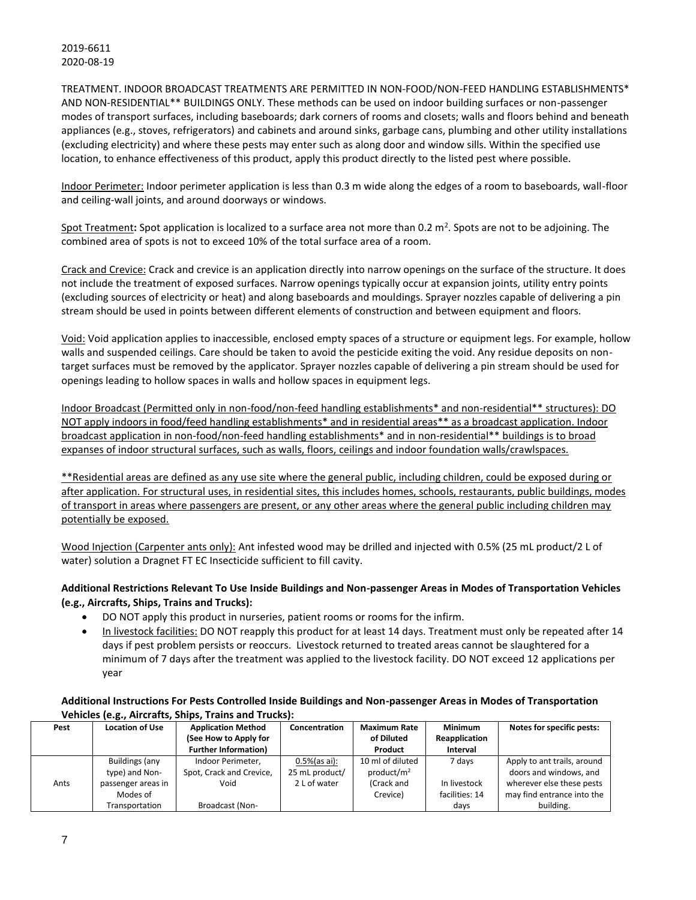TREATMENT. INDOOR BROADCAST TREATMENTS ARE PERMITTED IN NON-FOOD/NON-FEED HANDLING ESTABLISHMENTS\* AND NON-RESIDENTIAL\*\* BUILDINGS ONLY. These methods can be used on indoor building surfaces or non-passenger modes of transport surfaces, including baseboards; dark corners of rooms and closets; walls and floors behind and beneath appliances (e.g., stoves, refrigerators) and cabinets and around sinks, garbage cans, plumbing and other utility installations (excluding electricity) and where these pests may enter such as along door and window sills. Within the specified use location, to enhance effectiveness of this product, apply this product directly to the listed pest where possible.

Indoor Perimeter: Indoor perimeter application is less than 0.3 m wide along the edges of a room to baseboards, wall-floor and ceiling-wall joints, and around doorways or windows.

Spot Treatment: Spot application is localized to a surface area not more than 0.2 m<sup>2</sup>. Spots are not to be adjoining. The combined area of spots is not to exceed 10% of the total surface area of a room.

Crack and Crevice: Crack and crevice is an application directly into narrow openings on the surface of the structure. It does not include the treatment of exposed surfaces. Narrow openings typically occur at expansion joints, utility entry points (excluding sources of electricity or heat) and along baseboards and mouldings. Sprayer nozzles capable of delivering a pin stream should be used in points between different elements of construction and between equipment and floors.

Void: Void application applies to inaccessible, enclosed empty spaces of a structure or equipment legs. For example, hollow walls and suspended ceilings. Care should be taken to avoid the pesticide exiting the void. Any residue deposits on nontarget surfaces must be removed by the applicator. Sprayer nozzles capable of delivering a pin stream should be used for openings leading to hollow spaces in walls and hollow spaces in equipment legs.

Indoor Broadcast (Permitted only in non-food/non-feed handling establishments\* and non-residential\*\* structures): DO NOT apply indoors in food/feed handling establishments\* and in residential areas\*\* as a broadcast application. Indoor broadcast application in non-food/non-feed handling establishments\* and in non-residential\*\* buildings is to broad expanses of indoor structural surfaces, such as walls, floors, ceilings and indoor foundation walls/crawlspaces.

\*\*Residential areas are defined as any use site where the general public, including children, could be exposed during or after application. For structural uses, in residential sites, this includes homes, schools, restaurants, public buildings, modes of transport in areas where passengers are present, or any other areas where the general public including children may potentially be exposed.

Wood Injection (Carpenter ants only): Ant infested wood may be drilled and injected with 0.5% (25 mL product/2 L of water) solution a Dragnet FT EC Insecticide sufficient to fill cavity.

# **Additional Restrictions Relevant To Use Inside Buildings and Non-passenger Areas in Modes of Transportation Vehicles (e.g., Aircrafts, Ships, Trains and Trucks):**

- DO NOT apply this product in nurseries, patient rooms or rooms for the infirm.
- In livestock facilities: DO NOT reapply this product for at least 14 days. Treatment must only be repeated after 14 days if pest problem persists or reoccurs. Livestock returned to treated areas cannot be slaughtered for a minimum of 7 days after the treatment was applied to the livestock facility. DO NOT exceed 12 applications per year

# **Additional Instructions For Pests Controlled Inside Buildings and Non-passenger Areas in Modes of Transportation Vehicles (e.g., Aircrafts, Ships, Trains and Trucks):**

| Pest | <b>Location of Use</b> | <b>Application Method</b>   | Concentration    | <b>Maximum Rate</b>    | <b>Minimum</b> | Notes for specific pests:   |
|------|------------------------|-----------------------------|------------------|------------------------|----------------|-----------------------------|
|      |                        | (See How to Apply for       |                  | of Diluted             | Reapplication  |                             |
|      |                        | <b>Further Information)</b> |                  | Product                | Interval       |                             |
|      | Buildings (any         | Indoor Perimeter.           | $0.5\%$ (as ai): | 10 ml of diluted       | 7 days         | Apply to ant trails, around |
|      | type) and Non-         | Spot, Crack and Crevice,    | 25 mL product/   | product/m <sup>2</sup> |                | doors and windows, and      |
| Ants | passenger areas in     | Void                        | 2 L of water     | (Crack and             | In livestock   | wherever else these pests   |
|      | Modes of               |                             |                  | Crevice)               | facilities: 14 | may find entrance into the  |
|      | Transportation         | Broadcast (Non-             |                  |                        | days           | building.                   |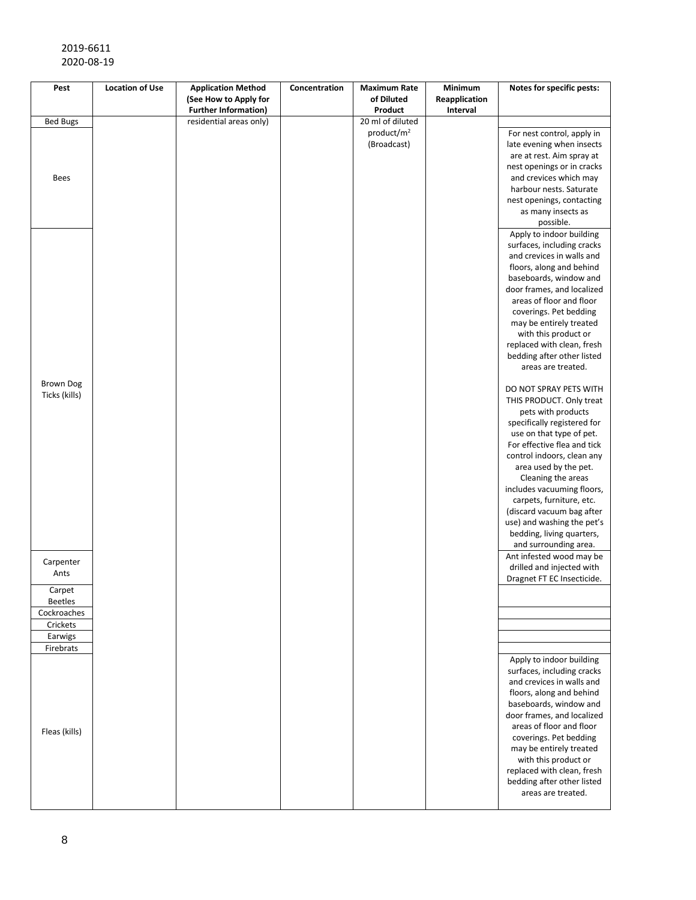| Pest             | <b>Location of Use</b> | <b>Application Method</b>   | Concentration | <b>Maximum Rate</b>    | Minimum       | Notes for specific pests:                               |
|------------------|------------------------|-----------------------------|---------------|------------------------|---------------|---------------------------------------------------------|
|                  |                        | (See How to Apply for       |               | of Diluted             | Reapplication |                                                         |
|                  |                        | <b>Further Information)</b> |               | Product                | Interval      |                                                         |
| <b>Bed Bugs</b>  |                        | residential areas only)     |               | 20 ml of diluted       |               |                                                         |
|                  |                        |                             |               | product/m <sup>2</sup> |               | For nest control, apply in                              |
|                  |                        |                             |               | (Broadcast)            |               | late evening when insects                               |
|                  |                        |                             |               |                        |               | are at rest. Aim spray at                               |
|                  |                        |                             |               |                        |               | nest openings or in cracks                              |
| <b>Bees</b>      |                        |                             |               |                        |               | and crevices which may                                  |
|                  |                        |                             |               |                        |               | harbour nests. Saturate                                 |
|                  |                        |                             |               |                        |               | nest openings, contacting                               |
|                  |                        |                             |               |                        |               | as many insects as                                      |
|                  |                        |                             |               |                        |               | possible.                                               |
|                  |                        |                             |               |                        |               | Apply to indoor building                                |
|                  |                        |                             |               |                        |               | surfaces, including cracks                              |
|                  |                        |                             |               |                        |               | and crevices in walls and                               |
|                  |                        |                             |               |                        |               | floors, along and behind                                |
|                  |                        |                             |               |                        |               | baseboards, window and                                  |
|                  |                        |                             |               |                        |               | door frames, and localized                              |
|                  |                        |                             |               |                        |               | areas of floor and floor                                |
|                  |                        |                             |               |                        |               | coverings. Pet bedding                                  |
|                  |                        |                             |               |                        |               | may be entirely treated                                 |
|                  |                        |                             |               |                        |               | with this product or                                    |
|                  |                        |                             |               |                        |               | replaced with clean, fresh                              |
|                  |                        |                             |               |                        |               | bedding after other listed                              |
|                  |                        |                             |               |                        |               | areas are treated.                                      |
| <b>Brown Dog</b> |                        |                             |               |                        |               |                                                         |
| Ticks (kills)    |                        |                             |               |                        |               | DO NOT SPRAY PETS WITH                                  |
|                  |                        |                             |               |                        |               | THIS PRODUCT. Only treat                                |
|                  |                        |                             |               |                        |               | pets with products                                      |
|                  |                        |                             |               |                        |               | specifically registered for<br>use on that type of pet. |
|                  |                        |                             |               |                        |               | For effective flea and tick                             |
|                  |                        |                             |               |                        |               | control indoors, clean any                              |
|                  |                        |                             |               |                        |               | area used by the pet.                                   |
|                  |                        |                             |               |                        |               | Cleaning the areas                                      |
|                  |                        |                             |               |                        |               | includes vacuuming floors,                              |
|                  |                        |                             |               |                        |               | carpets, furniture, etc.                                |
|                  |                        |                             |               |                        |               | (discard vacuum bag after                               |
|                  |                        |                             |               |                        |               | use) and washing the pet's                              |
|                  |                        |                             |               |                        |               | bedding, living quarters,                               |
|                  |                        |                             |               |                        |               | and surrounding area.                                   |
|                  |                        |                             |               |                        |               | Ant infested wood may be                                |
| Carpenter        |                        |                             |               |                        |               | drilled and injected with                               |
| Ants             |                        |                             |               |                        |               | Dragnet FT EC Insecticide.                              |
| Carpet           |                        |                             |               |                        |               |                                                         |
| <b>Beetles</b>   |                        |                             |               |                        |               |                                                         |
| Cockroaches      |                        |                             |               |                        |               |                                                         |
| Crickets         |                        |                             |               |                        |               |                                                         |
| Earwigs          |                        |                             |               |                        |               |                                                         |
| Firebrats        |                        |                             |               |                        |               |                                                         |
|                  |                        |                             |               |                        |               | Apply to indoor building                                |
|                  |                        |                             |               |                        |               | surfaces, including cracks                              |
|                  |                        |                             |               |                        |               | and crevices in walls and                               |
|                  |                        |                             |               |                        |               | floors, along and behind                                |
|                  |                        |                             |               |                        |               | baseboards, window and                                  |
|                  |                        |                             |               |                        |               | door frames, and localized                              |
|                  |                        |                             |               |                        |               | areas of floor and floor                                |
| Fleas (kills)    |                        |                             |               |                        |               | coverings. Pet bedding                                  |
|                  |                        |                             |               |                        |               | may be entirely treated                                 |
|                  |                        |                             |               |                        |               | with this product or                                    |
|                  |                        |                             |               |                        |               | replaced with clean, fresh                              |
|                  |                        |                             |               |                        |               | bedding after other listed                              |
|                  |                        |                             |               |                        |               | areas are treated.                                      |
|                  |                        |                             |               |                        |               |                                                         |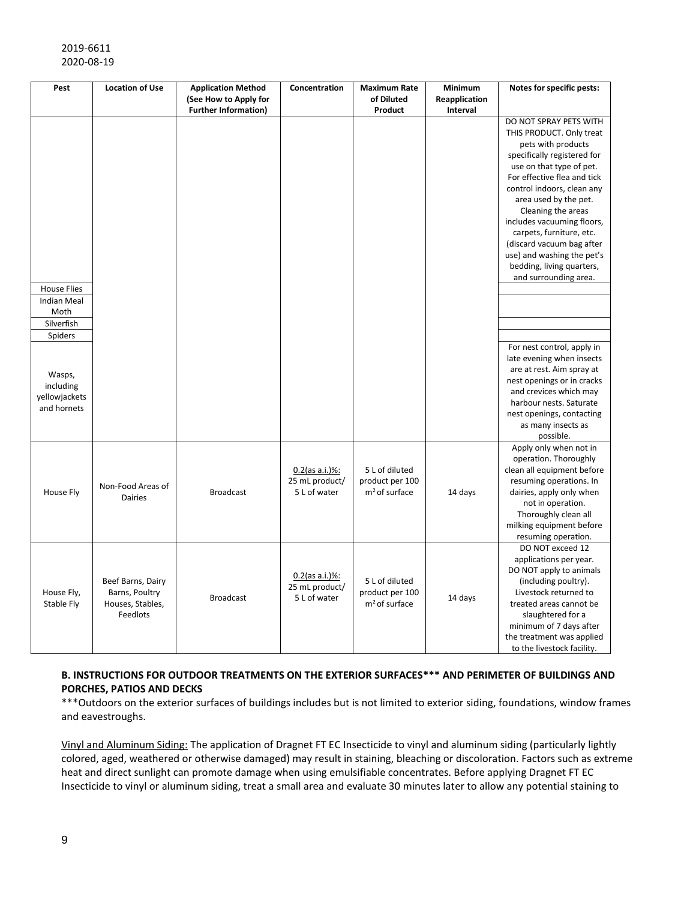| Pest                                                | <b>Location of Use</b>                                              | <b>Application Method</b>   | Concentration                                       | <b>Maximum Rate</b>                                  | Minimum       | Notes for specific pests:                                                                                                                                                                                                                                                       |
|-----------------------------------------------------|---------------------------------------------------------------------|-----------------------------|-----------------------------------------------------|------------------------------------------------------|---------------|---------------------------------------------------------------------------------------------------------------------------------------------------------------------------------------------------------------------------------------------------------------------------------|
|                                                     |                                                                     | (See How to Apply for       |                                                     | of Diluted                                           | Reapplication |                                                                                                                                                                                                                                                                                 |
|                                                     |                                                                     | <b>Further Information)</b> |                                                     | Product                                              | Interval      | DO NOT SPRAY PETS WITH                                                                                                                                                                                                                                                          |
|                                                     |                                                                     |                             |                                                     |                                                      |               | THIS PRODUCT. Only treat<br>pets with products<br>specifically registered for<br>use on that type of pet.<br>For effective flea and tick<br>control indoors, clean any<br>area used by the pet.<br>Cleaning the areas<br>includes vacuuming floors,<br>carpets, furniture, etc. |
|                                                     |                                                                     |                             |                                                     |                                                      |               | (discard vacuum bag after<br>use) and washing the pet's<br>bedding, living quarters,<br>and surrounding area.                                                                                                                                                                   |
| <b>House Flies</b>                                  |                                                                     |                             |                                                     |                                                      |               |                                                                                                                                                                                                                                                                                 |
| <b>Indian Meal</b><br>Moth<br>Silverfish            |                                                                     |                             |                                                     |                                                      |               |                                                                                                                                                                                                                                                                                 |
| Spiders                                             |                                                                     |                             |                                                     |                                                      |               |                                                                                                                                                                                                                                                                                 |
| Wasps,<br>including<br>yellowjackets<br>and hornets |                                                                     |                             |                                                     |                                                      |               | For nest control, apply in<br>late evening when insects<br>are at rest. Aim spray at<br>nest openings or in cracks<br>and crevices which may<br>harbour nests. Saturate<br>nest openings, contacting<br>as many insects as<br>possible.                                         |
| House Fly                                           | Non-Food Areas of<br><b>Dairies</b>                                 | <b>Broadcast</b>            | $0.2$ (as a.i.)%:<br>25 mL product/<br>5 L of water | 5 L of diluted<br>product per 100<br>$m2$ of surface | 14 days       | Apply only when not in<br>operation. Thoroughly<br>clean all equipment before<br>resuming operations. In<br>dairies, apply only when<br>not in operation.<br>Thoroughly clean all<br>milking equipment before<br>resuming operation.                                            |
| House Fly,<br>Stable Fly                            | Beef Barns, Dairy<br>Barns, Poultry<br>Houses, Stables,<br>Feedlots | <b>Broadcast</b>            | $0.2$ (as a.i.)%:<br>25 mL product/<br>5 L of water | 5 L of diluted<br>product per 100<br>$m2$ of surface | 14 days       | DO NOT exceed 12<br>applications per year.<br>DO NOT apply to animals<br>(including poultry).<br>Livestock returned to<br>treated areas cannot be<br>slaughtered for a<br>minimum of 7 days after<br>the treatment was applied<br>to the livestock facility.                    |

# **B. INSTRUCTIONS FOR OUTDOOR TREATMENTS ON THE EXTERIOR SURFACES\*\*\* AND PERIMETER OF BUILDINGS AND PORCHES, PATIOS AND DECKS**

\*\*\*Outdoors on the exterior surfaces of buildings includes but is not limited to exterior siding, foundations, window frames and eavestroughs.

Vinyl and Aluminum Siding: The application of Dragnet FT EC Insecticide to vinyl and aluminum siding (particularly lightly colored, aged, weathered or otherwise damaged) may result in staining, bleaching or discoloration. Factors such as extreme heat and direct sunlight can promote damage when using emulsifiable concentrates. Before applying Dragnet FT EC Insecticide to vinyl or aluminum siding, treat a small area and evaluate 30 minutes later to allow any potential staining to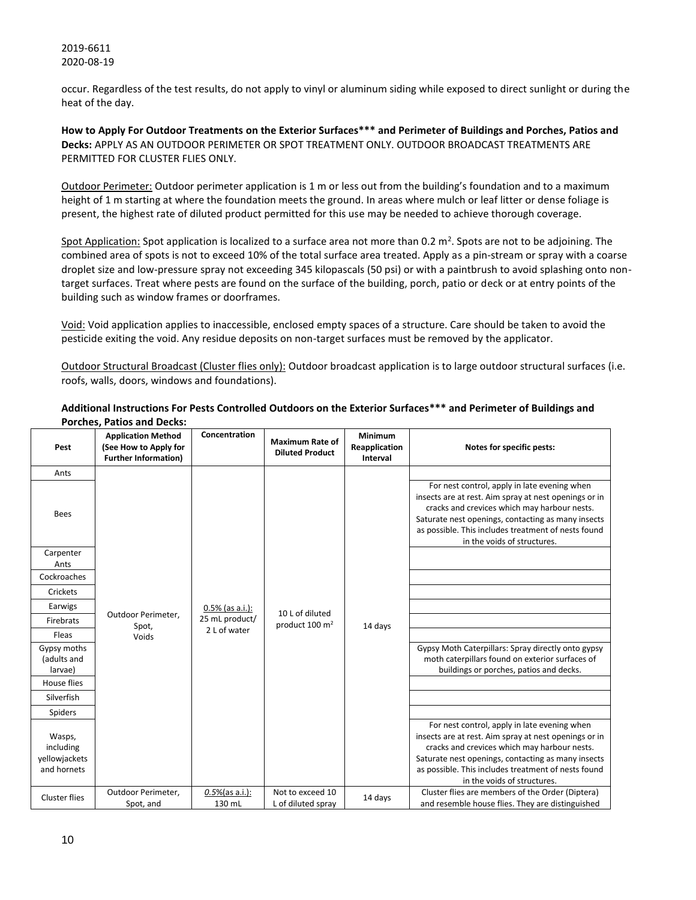occur. Regardless of the test results, do not apply to vinyl or aluminum siding while exposed to direct sunlight or during the heat of the day.

**How to Apply For Outdoor Treatments on the Exterior Surfaces\*\*\* and Perimeter of Buildings and Porches, Patios and Decks:** APPLY AS AN OUTDOOR PERIMETER OR SPOT TREATMENT ONLY. OUTDOOR BROADCAST TREATMENTS ARE PERMITTED FOR CLUSTER FLIES ONLY.

Outdoor Perimeter: Outdoor perimeter application is 1 m or less out from the building's foundation and to a maximum height of 1 m starting at where the foundation meets the ground. In areas where mulch or leaf litter or dense foliage is present, the highest rate of diluted product permitted for this use may be needed to achieve thorough coverage.

Spot Application: Spot application is localized to a surface area not more than 0.2  $m^2$ . Spots are not to be adjoining. The combined area of spots is not to exceed 10% of the total surface area treated. Apply as a pin-stream or spray with a coarse droplet size and low-pressure spray not exceeding 345 kilopascals (50 psi) or with a paintbrush to avoid splashing onto nontarget surfaces. Treat where pests are found on the surface of the building, porch, patio or deck or at entry points of the building such as window frames or doorframes.

Void: Void application applies to inaccessible, enclosed empty spaces of a structure. Care should be taken to avoid the pesticide exiting the void. Any residue deposits on non-target surfaces must be removed by the applicator.

Outdoor Structural Broadcast (Cluster flies only): Outdoor broadcast application is to large outdoor structural surfaces (i.e. roofs, walls, doors, windows and foundations).

| Pest                                                | <b>Application Method</b><br>(See How to Apply for<br><b>Further Information)</b> | Concentration                                        | <b>Maximum Rate of</b><br><b>Diluted Product</b> | Minimum<br>Reapplication<br>Interval | Notes for specific pests:                                                                                                                                                                                                                                                                         |
|-----------------------------------------------------|-----------------------------------------------------------------------------------|------------------------------------------------------|--------------------------------------------------|--------------------------------------|---------------------------------------------------------------------------------------------------------------------------------------------------------------------------------------------------------------------------------------------------------------------------------------------------|
| Ants                                                |                                                                                   |                                                      |                                                  |                                      |                                                                                                                                                                                                                                                                                                   |
| <b>Bees</b>                                         |                                                                                   |                                                      |                                                  |                                      | For nest control, apply in late evening when<br>insects are at rest. Aim spray at nest openings or in<br>cracks and crevices which may harbour nests.<br>Saturate nest openings, contacting as many insects<br>as possible. This includes treatment of nests found<br>in the voids of structures. |
| Carpenter<br>Ants                                   |                                                                                   |                                                      |                                                  |                                      |                                                                                                                                                                                                                                                                                                   |
| Cockroaches                                         |                                                                                   |                                                      |                                                  |                                      |                                                                                                                                                                                                                                                                                                   |
| Crickets                                            |                                                                                   | $0.5\%$ (as a.i.):<br>25 mL product/<br>2 L of water |                                                  |                                      |                                                                                                                                                                                                                                                                                                   |
| Earwigs                                             |                                                                                   |                                                      | 10 L of diluted                                  |                                      |                                                                                                                                                                                                                                                                                                   |
| Firebrats                                           | Outdoor Perimeter,<br>Spot,                                                       |                                                      | product 100 m <sup>2</sup>                       | 14 days                              |                                                                                                                                                                                                                                                                                                   |
| Fleas                                               | Voids                                                                             |                                                      |                                                  |                                      |                                                                                                                                                                                                                                                                                                   |
| Gypsy moths<br>(adults and<br>larvae)               |                                                                                   |                                                      |                                                  |                                      | Gypsy Moth Caterpillars: Spray directly onto gypsy<br>moth caterpillars found on exterior surfaces of<br>buildings or porches, patios and decks.                                                                                                                                                  |
| House flies                                         |                                                                                   |                                                      |                                                  |                                      |                                                                                                                                                                                                                                                                                                   |
| Silverfish                                          |                                                                                   |                                                      |                                                  |                                      |                                                                                                                                                                                                                                                                                                   |
| <b>Spiders</b>                                      |                                                                                   |                                                      |                                                  |                                      |                                                                                                                                                                                                                                                                                                   |
| Wasps,<br>including<br>yellowjackets<br>and hornets |                                                                                   |                                                      |                                                  |                                      | For nest control, apply in late evening when<br>insects are at rest. Aim spray at nest openings or in<br>cracks and crevices which may harbour nests.<br>Saturate nest openings, contacting as many insects<br>as possible. This includes treatment of nests found<br>in the voids of structures. |
| <b>Cluster flies</b>                                | Outdoor Perimeter,<br>Spot, and                                                   | $0.5\%$ (as a.i.):<br>130 mL                         | Not to exceed 10<br>L of diluted spray           | 14 days                              | Cluster flies are members of the Order (Diptera)<br>and resemble house flies. They are distinguished                                                                                                                                                                                              |

#### **Additional Instructions For Pests Controlled Outdoors on the Exterior Surfaces\*\*\* and Perimeter of Buildings and Porches, Patios and Decks:**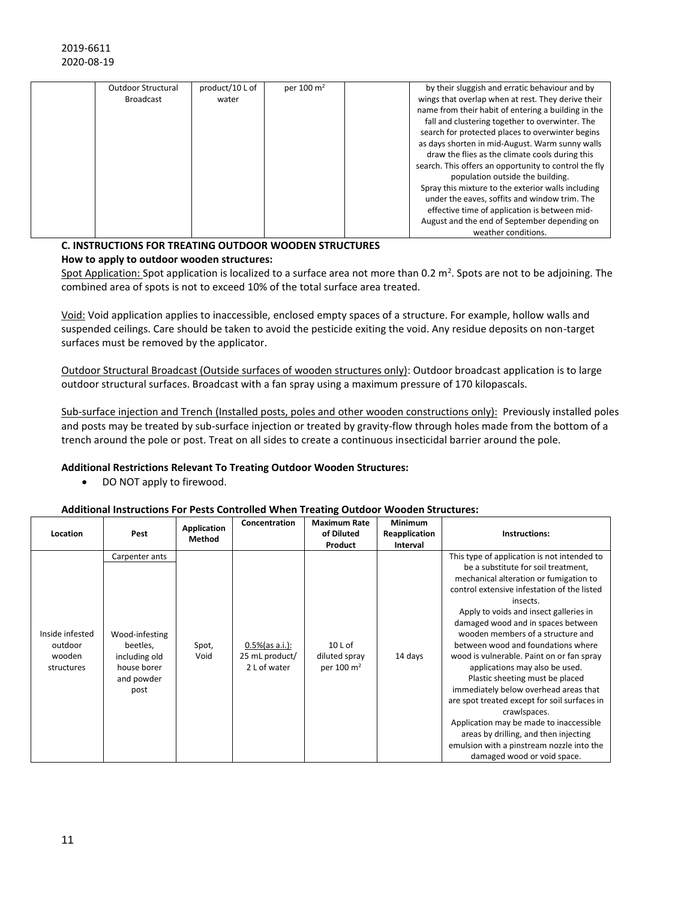| <b>Outdoor Structural</b> | product/10 L of | per 100 m <sup>2</sup> | by their sluggish and erratic behaviour and by        |
|---------------------------|-----------------|------------------------|-------------------------------------------------------|
| <b>Broadcast</b>          | water           |                        | wings that overlap when at rest. They derive their    |
|                           |                 |                        | name from their habit of entering a building in the   |
|                           |                 |                        | fall and clustering together to overwinter. The       |
|                           |                 |                        | search for protected places to overwinter begins      |
|                           |                 |                        | as days shorten in mid-August. Warm sunny walls       |
|                           |                 |                        | draw the flies as the climate cools during this       |
|                           |                 |                        | search. This offers an opportunity to control the fly |
|                           |                 |                        | population outside the building.                      |
|                           |                 |                        | Spray this mixture to the exterior walls including    |
|                           |                 |                        | under the eaves, soffits and window trim. The         |
|                           |                 |                        | effective time of application is between mid-         |
|                           |                 |                        | August and the end of September depending on          |
|                           |                 |                        | weather conditions.                                   |

#### **C. INSTRUCTIONS FOR TREATING OUTDOOR WOODEN STRUCTURES How to apply to outdoor wooden structures:**

Spot Application: Spot application is localized to a surface area not more than 0.2 m<sup>2</sup>. Spots are not to be adjoining. The combined area of spots is not to exceed 10% of the total surface area treated.

Void: Void application applies to inaccessible, enclosed empty spaces of a structure. For example, hollow walls and suspended ceilings. Care should be taken to avoid the pesticide exiting the void. Any residue deposits on non-target surfaces must be removed by the applicator.

Outdoor Structural Broadcast (Outside surfaces of wooden structures only): Outdoor broadcast application is to large outdoor structural surfaces. Broadcast with a fan spray using a maximum pressure of 170 kilopascals.

Sub-surface injection and Trench (Installed posts, poles and other wooden constructions only): Previously installed poles and posts may be treated by sub-surface injection or treated by gravity-flow through holes made from the bottom of a trench around the pole or post. Treat on all sides to create a continuous insecticidal barrier around the pole.

# **Additional Restrictions Relevant To Treating Outdoor Wooden Structures:**

• DO NOT apply to firewood.

# **Additional Instructions For Pests Controlled When Treating Outdoor Wooden Structures:**

| Location                                           | Pest                                                                                               | Application<br>Method | Concentration                                        | <b>Maximum Rate</b><br>of Diluted<br>Product        | Minimum<br>Reapplication<br>Interval | Instructions:                                                                                                                                                                                                                                                                                                                                                                                                                                                                                                                                                                                                                                                                                                                                 |
|----------------------------------------------------|----------------------------------------------------------------------------------------------------|-----------------------|------------------------------------------------------|-----------------------------------------------------|--------------------------------------|-----------------------------------------------------------------------------------------------------------------------------------------------------------------------------------------------------------------------------------------------------------------------------------------------------------------------------------------------------------------------------------------------------------------------------------------------------------------------------------------------------------------------------------------------------------------------------------------------------------------------------------------------------------------------------------------------------------------------------------------------|
| Inside infested<br>outdoor<br>wooden<br>structures | Carpenter ants<br>Wood-infesting<br>beetles,<br>including old<br>house borer<br>and powder<br>post | Spot,<br>Void         | $0.5\%$ (as a.i.):<br>25 mL product/<br>2 L of water | $10L$ of<br>diluted spray<br>per 100 m <sup>2</sup> | 14 days                              | This type of application is not intended to<br>be a substitute for soil treatment,<br>mechanical alteration or fumigation to<br>control extensive infestation of the listed<br>insects.<br>Apply to voids and insect galleries in<br>damaged wood and in spaces between<br>wooden members of a structure and<br>between wood and foundations where<br>wood is vulnerable. Paint on or fan spray<br>applications may also be used.<br>Plastic sheeting must be placed<br>immediately below overhead areas that<br>are spot treated except for soil surfaces in<br>crawlspaces.<br>Application may be made to inaccessible<br>areas by drilling, and then injecting<br>emulsion with a pinstream nozzle into the<br>damaged wood or void space. |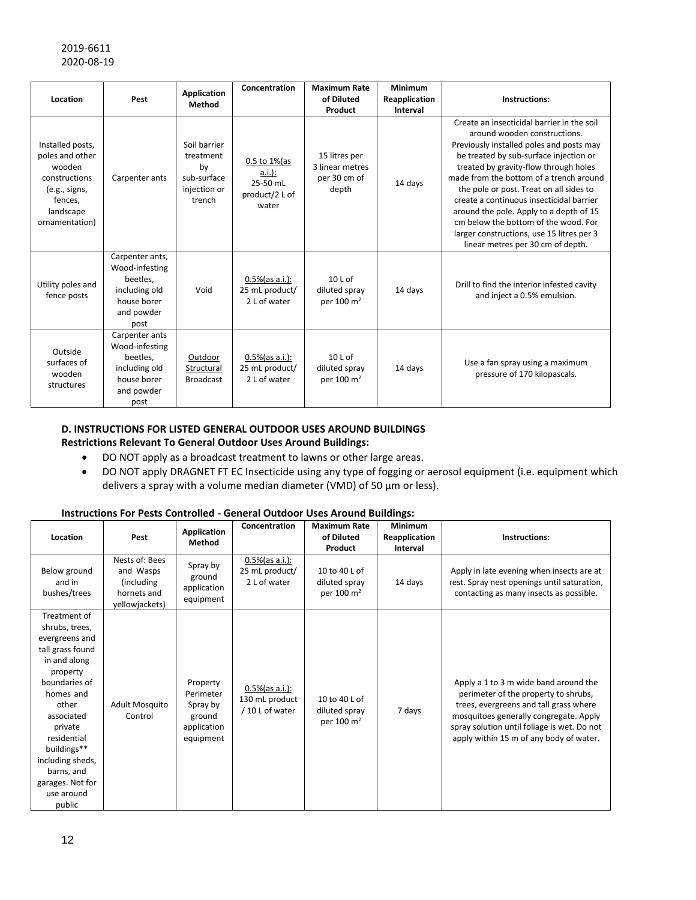|                                                                                                                           |                                                                                                     | <b>Application</b>                                                       | Concentration                                                          | <b>Maximum Rate</b>                                       | Minimum                   |                                                                                                                                                                                                                                                                                                                                                                                                                                                                                                                  |
|---------------------------------------------------------------------------------------------------------------------------|-----------------------------------------------------------------------------------------------------|--------------------------------------------------------------------------|------------------------------------------------------------------------|-----------------------------------------------------------|---------------------------|------------------------------------------------------------------------------------------------------------------------------------------------------------------------------------------------------------------------------------------------------------------------------------------------------------------------------------------------------------------------------------------------------------------------------------------------------------------------------------------------------------------|
| Location                                                                                                                  | Pest                                                                                                | Method                                                                   |                                                                        | of Diluted<br>Product                                     | Reapplication<br>Interval | Instructions:                                                                                                                                                                                                                                                                                                                                                                                                                                                                                                    |
| Installed posts,<br>poles and other<br>wooden<br>constructions<br>(e.g., signs,<br>fences,<br>landscape<br>ornamentation) | Carpenter ants                                                                                      | Soil barrier<br>treatment<br>by<br>sub-surface<br>injection or<br>trench | $0.5$ to $1\%$ (as<br>$a.i.$ ):<br>25-50 mL<br>product/2 L of<br>water | 15 litres per<br>3 linear metres<br>per 30 cm of<br>depth | 14 days                   | Create an insecticidal barrier in the soil<br>around wooden constructions.<br>Previously installed poles and posts may<br>be treated by sub-surface injection or<br>treated by gravity-flow through holes<br>made from the bottom of a trench around<br>the pole or post. Treat on all sides to<br>create a continuous insecticidal barrier<br>around the pole. Apply to a depth of 15<br>cm below the bottom of the wood. For<br>larger constructions, use 15 litres per 3<br>linear metres per 30 cm of depth. |
| Utility poles and<br>fence posts                                                                                          | Carpenter ants,<br>Wood-infesting<br>beetles,<br>including old<br>house borer<br>and powder<br>post | Void                                                                     | $0.5\%$ (as a.i.):<br>25 mL product/<br>2 L of water                   | $10L$ of<br>diluted spray<br>per 100 $\mathrm{m}^2$       | 14 days                   | Drill to find the interior infested cavity<br>and inject a 0.5% emulsion.                                                                                                                                                                                                                                                                                                                                                                                                                                        |
| Outside<br>surfaces of<br>wooden<br>structures                                                                            | Carpenter ants<br>Wood-infesting<br>beetles,<br>including old<br>house borer<br>and powder<br>post  | Outdoor<br>Structural<br><b>Broadcast</b>                                | $0.5\%$ (as a.i.):<br>25 mL product/<br>2 L of water                   | $10L$ of<br>diluted spray<br>per 100 $\mathrm{m}^2$       | 14 days                   | Use a fan spray using a maximum<br>pressure of 170 kilopascals.                                                                                                                                                                                                                                                                                                                                                                                                                                                  |

# **D. INSTRUCTIONS FOR LISTED GENERAL OUTDOOR USES AROUND BUILDINGS Restrictions Relevant To General Outdoor Uses Around Buildings:**

- DO NOT apply as a broadcast treatment to lawns or other large areas.
- DO NOT apply DRAGNET FT EC Insecticide using any type of fogging or aerosol equipment (i.e. equipment which delivers a spray with a volume median diameter (VMD) of 50 µm or less).

# **Instructions For Pests Controlled - General Outdoor Uses Around Buildings:**

| Location                                                                                                                                                                                                                                                                     | Pest                                                                       | Application<br>Method                                                   | Concentration                                           | <b>Maximum Rate</b><br>of Diluted<br>Product             | <b>Minimum</b><br>Reapplication<br>Interval | Instructions:                                                                                                                                                                                                                                               |
|------------------------------------------------------------------------------------------------------------------------------------------------------------------------------------------------------------------------------------------------------------------------------|----------------------------------------------------------------------------|-------------------------------------------------------------------------|---------------------------------------------------------|----------------------------------------------------------|---------------------------------------------|-------------------------------------------------------------------------------------------------------------------------------------------------------------------------------------------------------------------------------------------------------------|
| Below ground<br>and in<br>bushes/trees                                                                                                                                                                                                                                       | Nests of: Bees<br>and Wasps<br>(including<br>hornets and<br>yellowjackets) | Spray by<br>ground<br>application<br>equipment                          | $0.5\%$ (as a.i.):<br>25 mL product/<br>2 L of water    | 10 to 40 L of<br>diluted spray<br>per 100 m <sup>2</sup> | 14 days                                     | Apply in late evening when insects are at<br>rest. Spray nest openings until saturation,<br>contacting as many insects as possible.                                                                                                                         |
| Treatment of<br>shrubs, trees,<br>evergreens and<br>tall grass found<br>in and along<br>property<br>boundaries of<br>homes and<br>other<br>associated<br>private<br>residential<br>buildings**<br>including sheds,<br>barns, and<br>garages. Not for<br>use around<br>public | <b>Adult Mosquito</b><br>Control                                           | Property<br>Perimeter<br>Spray by<br>ground<br>application<br>equipment | $0.5\%$ (as a.i.):<br>130 mL product<br>/ 10 L of water | 10 to 40 L of<br>diluted spray<br>per 100 m <sup>2</sup> | 7 days                                      | Apply a 1 to 3 m wide band around the<br>perimeter of the property to shrubs,<br>trees, evergreens and tall grass where<br>mosquitoes generally congregate. Apply<br>spray solution until foliage is wet. Do not<br>apply within 15 m of any body of water. |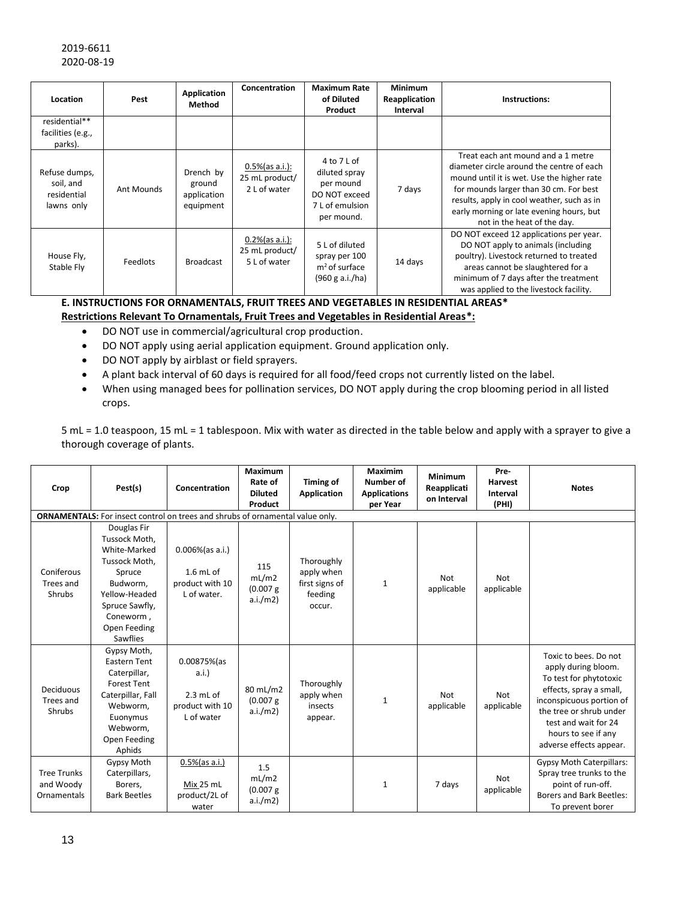| Location                                                | Pest       | Application<br>Method                           | Concentration                                        | <b>Maximum Rate</b><br>of Diluted<br>Product                                                | <b>Minimum</b><br>Reapplication<br>Interval | Instructions:                                                                                                                                                                                                                                                                                    |
|---------------------------------------------------------|------------|-------------------------------------------------|------------------------------------------------------|---------------------------------------------------------------------------------------------|---------------------------------------------|--------------------------------------------------------------------------------------------------------------------------------------------------------------------------------------------------------------------------------------------------------------------------------------------------|
| residential**<br>facilities (e.g.,<br>parks).           |            |                                                 |                                                      |                                                                                             |                                             |                                                                                                                                                                                                                                                                                                  |
| Refuse dumps,<br>soil, and<br>residential<br>lawns only | Ant Mounds | Drench by<br>ground<br>application<br>equipment | $0.5\%$ (as a.i.):<br>25 mL product/<br>2 L of water | 4 to 7 L of<br>diluted spray<br>per mound<br>DO NOT exceed<br>7 L of emulsion<br>per mound. | 7 days                                      | Treat each ant mound and a 1 metre<br>diameter circle around the centre of each<br>mound until it is wet. Use the higher rate<br>for mounds larger than 30 cm. For best<br>results, apply in cool weather, such as in<br>early morning or late evening hours, but<br>not in the heat of the day. |
| House Fly,<br>Stable Fly                                | Feedlots   | <b>Broadcast</b>                                | $0.2\%$ (as a.i.):<br>25 mL product/<br>5 L of water | 5 L of diluted<br>spray per 100<br>$m2$ of surface<br>(960 g a.i./ha)                       | 14 days                                     | DO NOT exceed 12 applications per year.<br>DO NOT apply to animals (including<br>poultry). Livestock returned to treated<br>areas cannot be slaughtered for a<br>minimum of 7 days after the treatment<br>was applied to the livestock facility.                                                 |

#### **E. INSTRUCTIONS FOR ORNAMENTALS, FRUIT TREES AND VEGETABLES IN RESIDENTIAL AREAS\* Restrictions Relevant To Ornamentals, Fruit Trees and Vegetables in Residential Areas\*:**

- DO NOT use in commercial/agricultural crop production.
- DO NOT apply using aerial application equipment. Ground application only.
- DO NOT apply by airblast or field sprayers.
- A plant back interval of 60 days is required for all food/feed crops not currently listed on the label.
- When using managed bees for pollination services, DO NOT apply during the crop blooming period in all listed crops.

5 mL = 1.0 teaspoon, 15 mL = 1 tablespoon. Mix with water as directed in the table below and apply with a sprayer to give a thorough coverage of plants.

| Crop                                           | Pest(s)                                                                                                                                                         | Concentration                                                        | Maximum<br>Rate of<br><b>Diluted</b><br>Product | Timing of<br>Application                                        | Maximim<br>Number of<br><b>Applications</b><br>per Year | Minimum<br>Reapplicati<br>on Interval | Pre-<br>Harvest<br>Interval<br>(PHI) | <b>Notes</b>                                                                                                                                                                                                                       |
|------------------------------------------------|-----------------------------------------------------------------------------------------------------------------------------------------------------------------|----------------------------------------------------------------------|-------------------------------------------------|-----------------------------------------------------------------|---------------------------------------------------------|---------------------------------------|--------------------------------------|------------------------------------------------------------------------------------------------------------------------------------------------------------------------------------------------------------------------------------|
|                                                | <b>ORNAMENTALS:</b> For insect control on trees and shrubs of ornamental value only.                                                                            |                                                                      |                                                 |                                                                 |                                                         |                                       |                                      |                                                                                                                                                                                                                                    |
| Coniferous<br>Trees and<br>Shrubs              | Douglas Fir<br>Tussock Moth,<br>White-Marked<br>Tussock Moth.<br>Spruce<br>Budworm,<br>Yellow-Headed<br>Spruce Sawfly,<br>Coneworm,<br>Open Feeding<br>Sawflies | $0.006\%$ (as a.i.)<br>$1.6$ mL of<br>product with 10<br>L of water. | 115<br>mL/m2<br>(0.007 g)<br>a.i./m2)           | Thoroughly<br>apply when<br>first signs of<br>feeding<br>occur. | 1                                                       | Not<br>applicable                     | <b>Not</b><br>applicable             |                                                                                                                                                                                                                                    |
| Deciduous<br>Trees and<br>Shrubs               | Gypsy Moth,<br><b>Eastern Tent</b><br>Caterpillar,<br><b>Forest Tent</b><br>Caterpillar, Fall<br>Webworm,<br>Euonymus<br>Webworm,<br>Open Feeding<br>Aphids     | 0.00875%(as<br>a.i.<br>$2.3$ mL of<br>product with 10<br>L of water  | 80 mL/m2<br>(0.007)<br>a.i./m2)                 | Thoroughly<br>apply when<br>insects<br>appear.                  | $\mathbf{1}$                                            | Not<br>applicable                     | <b>Not</b><br>applicable             | Toxic to bees. Do not<br>apply during bloom.<br>To test for phytotoxic<br>effects, spray a small,<br>inconspicuous portion of<br>the tree or shrub under<br>test and wait for 24<br>hours to see if any<br>adverse effects appear. |
| <b>Tree Trunks</b><br>and Woody<br>Ornamentals | <b>Gypsy Moth</b><br>Caterpillars,<br>Borers,<br><b>Bark Beetles</b>                                                                                            | $0.5\%$ (as a.i.)<br>Mix 25 mL<br>product/2L of<br>water             | 1.5<br>mL/m2<br>(0.007)<br>a.i./m2)             |                                                                 | 1                                                       | 7 days                                | Not<br>applicable                    | <b>Gypsy Moth Caterpillars:</b><br>Spray tree trunks to the<br>point of run-off.<br>Borers and Bark Beetles:<br>To prevent borer                                                                                                   |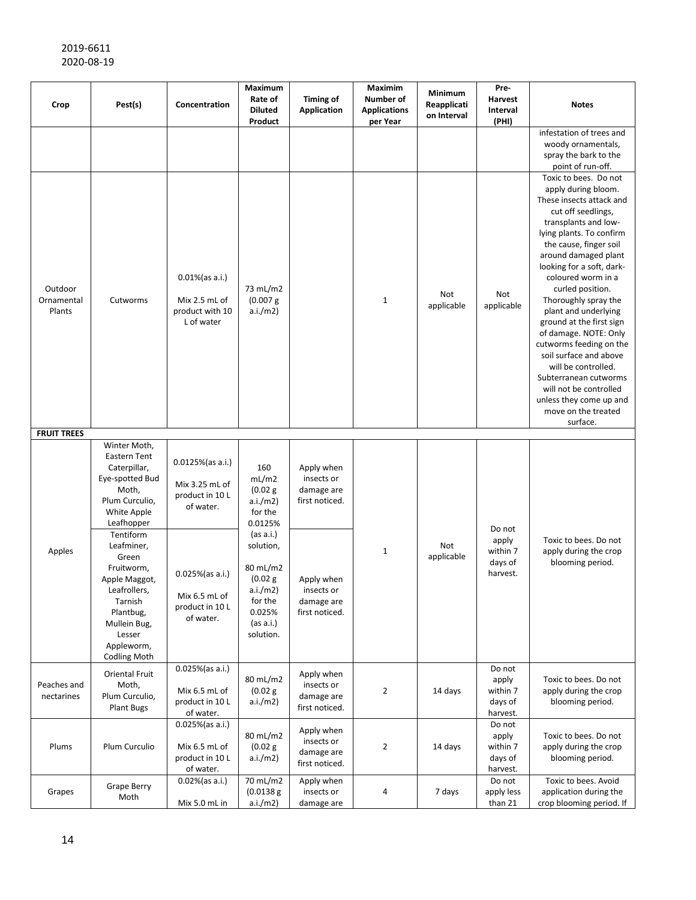| Crop                            | Pest(s)                                                                                                                                                                                                                                                                                           | Concentration                                                                                                                              | Maximum<br>Rate of<br><b>Diluted</b><br>Product                                                                                                                         | <b>Timing of</b><br>Application                                                                                      | <b>Maximim</b><br>Number of<br><b>Applications</b><br>per Year | Minimum<br>Reapplicati<br>on Interval | Pre-<br>Harvest<br>Interval<br>(PHI)               | <b>Notes</b>                                                                                                                                                                                                                                                                                                                                                                                                                                                                                                                                                                  |
|---------------------------------|---------------------------------------------------------------------------------------------------------------------------------------------------------------------------------------------------------------------------------------------------------------------------------------------------|--------------------------------------------------------------------------------------------------------------------------------------------|-------------------------------------------------------------------------------------------------------------------------------------------------------------------------|----------------------------------------------------------------------------------------------------------------------|----------------------------------------------------------------|---------------------------------------|----------------------------------------------------|-------------------------------------------------------------------------------------------------------------------------------------------------------------------------------------------------------------------------------------------------------------------------------------------------------------------------------------------------------------------------------------------------------------------------------------------------------------------------------------------------------------------------------------------------------------------------------|
|                                 |                                                                                                                                                                                                                                                                                                   |                                                                                                                                            |                                                                                                                                                                         |                                                                                                                      |                                                                |                                       |                                                    | infestation of trees and<br>woody ornamentals,<br>spray the bark to the<br>point of run-off.                                                                                                                                                                                                                                                                                                                                                                                                                                                                                  |
| Outdoor<br>Ornamental<br>Plants | Cutworms                                                                                                                                                                                                                                                                                          | $0.01\%$ (as a.i.)<br>Mix 2.5 mL of<br>product with 10<br>L of water                                                                       | 73 mL/m2<br>(0.007 g)<br>a.i./m2)                                                                                                                                       |                                                                                                                      | $\mathbf{1}$                                                   | Not<br>applicable                     | Not<br>applicable                                  | Toxic to bees. Do not<br>apply during bloom.<br>These insects attack and<br>cut off seedlings,<br>transplants and low-<br>lying plants. To confirm<br>the cause, finger soil<br>around damaged plant<br>looking for a soft, dark-<br>coloured worm in a<br>curled position.<br>Thoroughly spray the<br>plant and underlying<br>ground at the first sign<br>of damage. NOTE: Only<br>cutworms feeding on the<br>soil surface and above<br>will be controlled.<br>Subterranean cutworms<br>will not be controlled<br>unless they come up and<br>move on the treated<br>surface. |
| <b>FRUIT TREES</b>              |                                                                                                                                                                                                                                                                                                   |                                                                                                                                            |                                                                                                                                                                         |                                                                                                                      |                                                                |                                       |                                                    |                                                                                                                                                                                                                                                                                                                                                                                                                                                                                                                                                                               |
| Apples                          | Winter Moth,<br>Eastern Tent<br>Caterpillar,<br>Eye-spotted Bud<br>Moth,<br>Plum Curculio,<br>White Apple<br>Leafhopper<br>Tentiform<br>Leafminer,<br>Green<br>Fruitworm,<br>Apple Maggot,<br>Leafrollers,<br>Tarnish<br>Plantbug,<br>Mullein Bug,<br>Lesser<br>Appleworm,<br><b>Codling Moth</b> | $0.0125\%$ (as a.i.)<br>Mix 3.25 mL of<br>product in 10 L<br>of water.<br>0.025%(as a.i.)<br>Mix 6.5 mL of<br>product in 10 L<br>of water. | 160<br>mL/m2<br>(0.02 g)<br>a.i./m2)<br>for the<br>0.0125%<br>(as a.i.)<br>solution,<br>80 mL/m2<br>(0.02 g)<br>a.i./m2)<br>for the<br>0.025%<br>(as a.i.)<br>solution. | Apply when<br>insects or<br>damage are<br>first noticed.<br>Apply when<br>insects or<br>damage are<br>first noticed. | $\mathbf{1}$                                                   | Not<br>applicable                     | Do not<br>apply<br>within 7<br>days of<br>harvest. | Toxic to bees. Do not<br>apply during the crop<br>blooming period.                                                                                                                                                                                                                                                                                                                                                                                                                                                                                                            |
| Peaches and<br>nectarines       | Oriental Fruit<br>Moth,<br>Plum Curculio,<br><b>Plant Bugs</b>                                                                                                                                                                                                                                    | $0.025\%$ (as a.i.)<br>Mix 6.5 mL of<br>product in 10 L<br>of water.                                                                       | 80 mL/m2<br>(0.02 g)<br>a.i./m2)                                                                                                                                        | Apply when<br>insects or<br>damage are<br>first noticed.                                                             | 2                                                              | 14 days                               | Do not<br>apply<br>within 7<br>days of<br>harvest. | Toxic to bees. Do not<br>apply during the crop<br>blooming period.                                                                                                                                                                                                                                                                                                                                                                                                                                                                                                            |
| Plums                           | Plum Curculio                                                                                                                                                                                                                                                                                     | 0.025%(as a.i.)<br>Mix 6.5 mL of<br>product in 10 L<br>of water.                                                                           | 80 mL/m2<br>(0.02 g)<br>a.i./m2)                                                                                                                                        | Apply when<br>insects or<br>damage are<br>first noticed.                                                             | 2                                                              | 14 days                               | Do not<br>apply<br>within 7<br>days of<br>harvest. | Toxic to bees. Do not<br>apply during the crop<br>blooming period.                                                                                                                                                                                                                                                                                                                                                                                                                                                                                                            |
| Grapes                          | <b>Grape Berry</b><br>Moth                                                                                                                                                                                                                                                                        | 0.02%(as a.i.)<br>Mix 5.0 mL in                                                                                                            | 70 mL/m2<br>(0.0138 g)<br>a.i./m2)                                                                                                                                      | Apply when<br>insects or<br>damage are                                                                               | 4                                                              | 7 days                                | Do not<br>apply less<br>than 21                    | Toxic to bees. Avoid<br>application during the<br>crop blooming period. If                                                                                                                                                                                                                                                                                                                                                                                                                                                                                                    |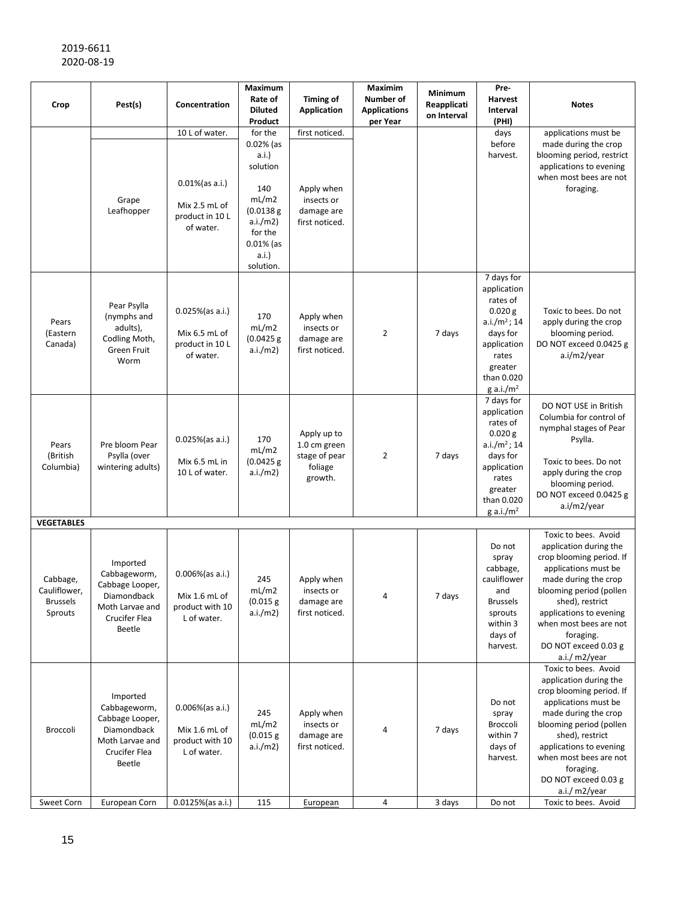| Crop                                                                        | Pest(s)                                                                                                  | Concentration                                                                         | Maximum<br>Rate of<br><b>Diluted</b><br>Product                                                                                       | <b>Timing of</b><br><b>Application</b>                                     | <b>Maximim</b><br>Number of<br><b>Applications</b><br>per Year | Minimum<br>Reapplicati<br>on Interval | Pre-<br>Harvest<br>Interval<br>(PHI)                                                                                                                      | <b>Notes</b>                                                                                                                                                                                                                                                                        |
|-----------------------------------------------------------------------------|----------------------------------------------------------------------------------------------------------|---------------------------------------------------------------------------------------|---------------------------------------------------------------------------------------------------------------------------------------|----------------------------------------------------------------------------|----------------------------------------------------------------|---------------------------------------|-----------------------------------------------------------------------------------------------------------------------------------------------------------|-------------------------------------------------------------------------------------------------------------------------------------------------------------------------------------------------------------------------------------------------------------------------------------|
|                                                                             | Grape<br>Leafhopper                                                                                      | 10 L of water.<br>$0.01\%$ (as a.i.)<br>Mix 2.5 mL of<br>product in 10 L<br>of water. | for the<br>$0.02%$ (as<br>a.i.)<br>solution<br>140<br>mL/m2<br>(0.0138 g)<br>a.i./m2)<br>for the<br>$0.01\%$ (as<br>a.i.<br>solution. | first noticed.<br>Apply when<br>insects or<br>damage are<br>first noticed. |                                                                |                                       | days<br>before<br>harvest.                                                                                                                                | applications must be<br>made during the crop<br>blooming period, restrict<br>applications to evening<br>when most bees are not<br>foraging.                                                                                                                                         |
| Pears<br>(Eastern<br>Canada)                                                | Pear Psylla<br>(nymphs and<br>adults),<br>Codling Moth,<br>Green Fruit<br>Worm                           | 0.025%(as a.i.)<br>Mix 6.5 mL of<br>product in 10 L<br>of water.                      | 170<br>mL/m2<br>(0.0425 g)<br>a.i./m2)                                                                                                | Apply when<br>insects or<br>damage are<br>first noticed.                   | 2                                                              | 7 days                                | 7 days for<br>application<br>rates of<br>0.020 g<br>$a.i./m^2$ ; 14<br>days for<br>application<br>rates<br>greater<br>than 0.020<br>g a.i./m <sup>2</sup> | Toxic to bees. Do not<br>apply during the crop<br>blooming period.<br>DO NOT exceed 0.0425 g<br>a.i/m2/year                                                                                                                                                                         |
| Pears<br>(British<br>Columbia)                                              | Pre bloom Pear<br>Psylla (over<br>wintering adults)                                                      | $0.025%$ (as a.i.)<br>Mix 6.5 mL in<br>10 L of water.                                 | 170<br>mL/m2<br>(0.0425 g)<br>a.i./m2)                                                                                                | Apply up to<br>1.0 cm green<br>stage of pear<br>foliage<br>growth.         | 2                                                              | 7 days                                | 7 days for<br>application<br>rates of<br>0.020 g<br>$a.i./m^2$ ; 14<br>days for<br>application<br>rates<br>greater<br>than 0.020<br>g a.i./ $m2$          | DO NOT USE in British<br>Columbia for control of<br>nymphal stages of Pear<br>Psylla.<br>Toxic to bees. Do not<br>apply during the crop<br>blooming period.<br>DO NOT exceed 0.0425 g<br>a.i/m2/year                                                                                |
| <b>VEGETABLES</b><br>Cabbage,<br>Cauliflower,<br><b>Brussels</b><br>Sprouts | Imported<br>Cabbageworm,<br>Cabbage Looper,<br>Diamondback<br>Moth Larvae and<br>Crucifer Flea<br>Beetle | 0.006%(as a.i.)<br>Mix 1.6 mL of<br>product with 10<br>L of water.                    | 245<br>mL/m2<br>(0.015 g)<br>a.i./m2)                                                                                                 | Apply when<br>insects or<br>damage are<br>first noticed.                   | 4                                                              | 7 days                                | Do not<br>spray<br>cabbage,<br>cauliflower<br>and<br><b>Brussels</b><br>sprouts<br>within 3<br>days of<br>harvest.                                        | Toxic to bees. Avoid<br>application during the<br>crop blooming period. If<br>applications must be<br>made during the crop<br>blooming period (pollen<br>shed), restrict<br>applications to evening<br>when most bees are not<br>foraging.<br>DO NOT exceed 0.03 g<br>a.i./ m2/year |
| Broccoli                                                                    | Imported<br>Cabbageworm,<br>Cabbage Looper,<br>Diamondback<br>Moth Larvae and<br>Crucifer Flea<br>Beetle | 0.006%(as a.i.)<br>Mix 1.6 mL of<br>product with 10<br>L of water.                    | 245<br>mL/m2<br>(0.015 g)<br>a.i./m2)                                                                                                 | Apply when<br>insects or<br>damage are<br>first noticed.                   | 4                                                              | 7 days                                | Do not<br>spray<br>Broccoli<br>within 7<br>days of<br>harvest.                                                                                            | Toxic to bees. Avoid<br>application during the<br>crop blooming period. If<br>applications must be<br>made during the crop<br>blooming period (pollen<br>shed), restrict<br>applications to evening<br>when most bees are not<br>foraging.<br>DO NOT exceed 0.03 g<br>a.i./ m2/year |
| Sweet Corn                                                                  | European Corn                                                                                            | 0.0125%(as a.i.)                                                                      | 115                                                                                                                                   | European                                                                   | $\pmb{4}$                                                      | 3 days                                | Do not                                                                                                                                                    | Toxic to bees. Avoid                                                                                                                                                                                                                                                                |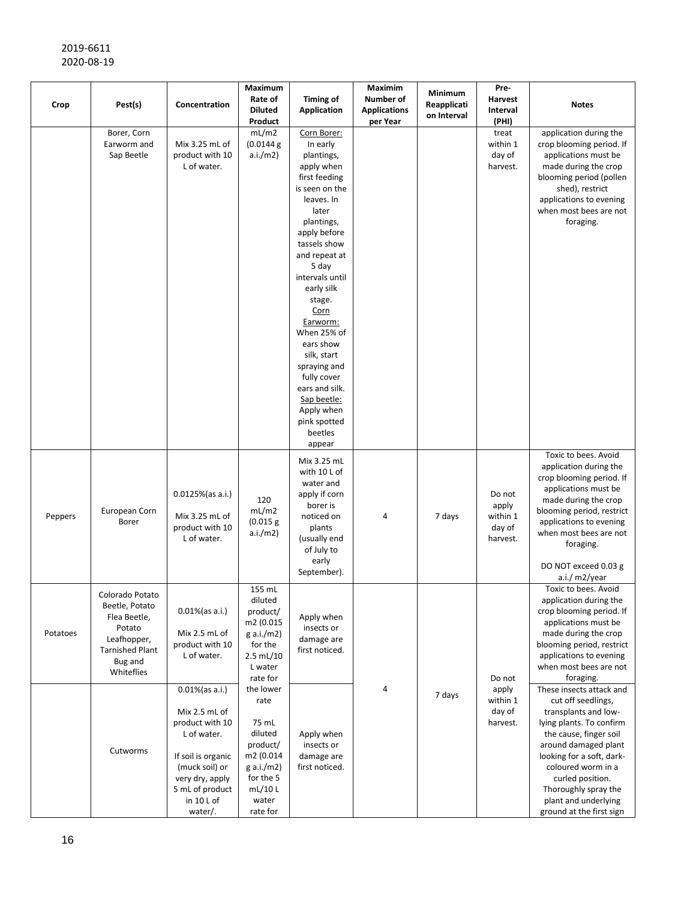| Crop     | Pest(s)                                                                                                                       | Concentration                                                                                                                                                                | Maximum<br>Rate of<br><b>Diluted</b><br>Product                                                                          | <b>Timing of</b><br><b>Application</b>                                                                                                                                                                                                                                                                                                                                                                                    | Maximim<br>Number of<br><b>Applications</b><br>per Year | Minimum<br>Reapplicati<br>on Interval | Pre-<br>Harvest<br>Interval<br>(PHI)              | <b>Notes</b>                                                                                                                                                                                                                                                                                            |
|----------|-------------------------------------------------------------------------------------------------------------------------------|------------------------------------------------------------------------------------------------------------------------------------------------------------------------------|--------------------------------------------------------------------------------------------------------------------------|---------------------------------------------------------------------------------------------------------------------------------------------------------------------------------------------------------------------------------------------------------------------------------------------------------------------------------------------------------------------------------------------------------------------------|---------------------------------------------------------|---------------------------------------|---------------------------------------------------|---------------------------------------------------------------------------------------------------------------------------------------------------------------------------------------------------------------------------------------------------------------------------------------------------------|
|          | Borer, Corn<br>Earworm and<br>Sap Beetle                                                                                      | Mix 3.25 mL of<br>product with 10<br>L of water.                                                                                                                             | mL/m2<br>(0.0144)<br>a.i./m2)                                                                                            | Corn Borer:<br>In early<br>plantings,<br>apply when<br>first feeding<br>is seen on the<br>leaves. In<br>later<br>plantings,<br>apply before<br>tassels show<br>and repeat at<br>5 day<br>intervals until<br>early silk<br>stage.<br><u>Corn</u><br>Earworm:<br>When 25% of<br>ears show<br>silk, start<br>spraying and<br>fully cover<br>ears and silk.<br>Sap beetle:<br>Apply when<br>pink spotted<br>beetles<br>appear |                                                         |                                       | treat<br>within 1<br>day of<br>harvest.           | application during the<br>crop blooming period. If<br>applications must be<br>made during the crop<br>blooming period (pollen<br>shed), restrict<br>applications to evening<br>when most bees are not<br>foraging.                                                                                      |
| Peppers  | European Corn<br>Borer                                                                                                        | $0.0125\%$ (as a.i.)<br>Mix 3.25 mL of<br>product with 10<br>L of water.                                                                                                     | 120<br>mL/m2<br>(0.015 g)<br>a.i./m2)                                                                                    | Mix 3.25 mL<br>with 10 L of<br>water and<br>apply if corn<br>borer is<br>noticed on<br>plants<br>(usually end<br>of July to<br>early<br>September).                                                                                                                                                                                                                                                                       | 4                                                       | 7 days                                | Do not<br>apply<br>within 1<br>day of<br>harvest. | Toxic to bees. Avoid<br>application during the<br>crop blooming period. If<br>applications must be<br>made during the crop<br>blooming period, restrict<br>applications to evening<br>when most bees are not<br>foraging.<br>DO NOT exceed 0.03 g<br>a.i./ m2/year                                      |
| Potatoes | Colorado Potato<br>Beetle, Potato<br>Flea Beetle,<br>Potato<br>Leafhopper,<br><b>Tarnished Plant</b><br>Bug and<br>Whiteflies | $0.01\%$ (as a.i.)<br>Mix 2.5 mL of<br>product with 10<br>L of water.                                                                                                        | 155 mL<br>diluted<br>product/<br>m2 (0.015<br>g a.i./m2)<br>for the<br>2.5 mL/10<br>L water<br>rate for                  | Apply when<br>insects or<br>damage are<br>first noticed.                                                                                                                                                                                                                                                                                                                                                                  |                                                         |                                       | Do not                                            | Toxic to bees. Avoid<br>application during the<br>crop blooming period. If<br>applications must be<br>made during the crop<br>blooming period, restrict<br>applications to evening<br>when most bees are not<br>foraging.                                                                               |
|          | Cutworms                                                                                                                      | $0.01\%$ (as a.i.)<br>Mix 2.5 mL of<br>product with 10<br>L of water.<br>If soil is organic<br>(muck soil) or<br>very dry, apply<br>5 mL of product<br>in 10 L of<br>water/. | the lower<br>rate<br>75 mL<br>diluted<br>product/<br>m2 (0.014<br>g a.i./m2)<br>for the 5<br>mL/10L<br>water<br>rate for | Apply when<br>insects or<br>damage are<br>first noticed.                                                                                                                                                                                                                                                                                                                                                                  | 4                                                       | 7 days                                | apply<br>within 1<br>day of<br>harvest.           | These insects attack and<br>cut off seedlings,<br>transplants and low-<br>lying plants. To confirm<br>the cause, finger soil<br>around damaged plant<br>looking for a soft, dark-<br>coloured worm in a<br>curled position.<br>Thoroughly spray the<br>plant and underlying<br>ground at the first sign |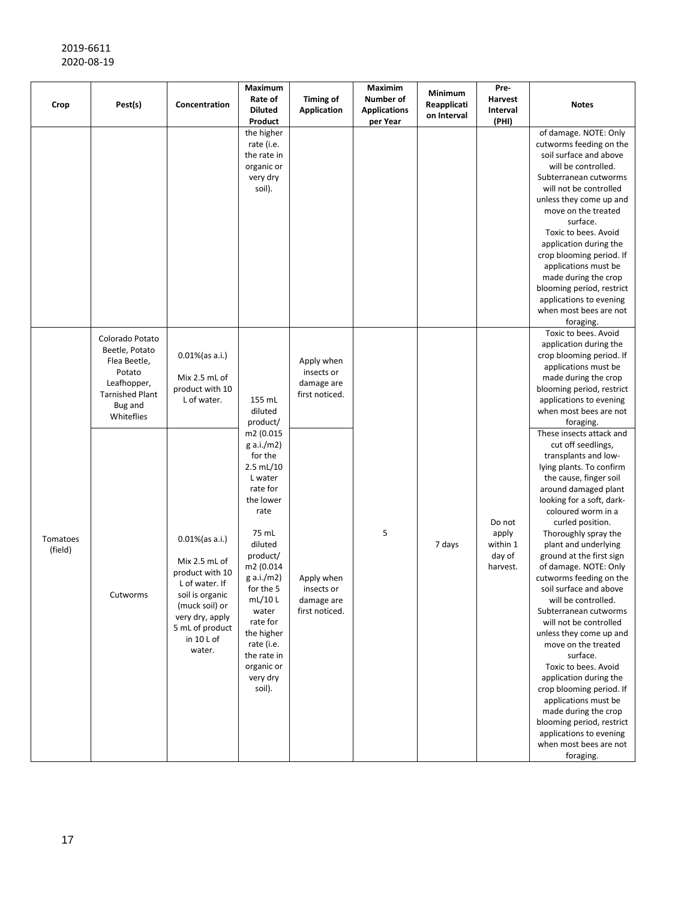| Crop                | Pest(s)                                                                                                                       | Concentration                                                                                                                                                               | Maximum<br>Rate of<br><b>Diluted</b><br>Product                                                                                                                                                                                                                                                                    | <b>Timing of</b><br><b>Application</b>                   | Maximim<br><b>Number of</b><br><b>Applications</b><br>per Year | Minimum<br>Reapplicati<br>on Interval | Pre-<br>Harvest<br>Interval<br>(PHI)              | <b>Notes</b>                                                                                                                                                                                                                                                                                                                                                                                                                                                                                                                                                                                                                                                                                                                                               |
|---------------------|-------------------------------------------------------------------------------------------------------------------------------|-----------------------------------------------------------------------------------------------------------------------------------------------------------------------------|--------------------------------------------------------------------------------------------------------------------------------------------------------------------------------------------------------------------------------------------------------------------------------------------------------------------|----------------------------------------------------------|----------------------------------------------------------------|---------------------------------------|---------------------------------------------------|------------------------------------------------------------------------------------------------------------------------------------------------------------------------------------------------------------------------------------------------------------------------------------------------------------------------------------------------------------------------------------------------------------------------------------------------------------------------------------------------------------------------------------------------------------------------------------------------------------------------------------------------------------------------------------------------------------------------------------------------------------|
|                     |                                                                                                                               |                                                                                                                                                                             | the higher<br>rate (i.e.<br>the rate in<br>organic or<br>very dry<br>soil).                                                                                                                                                                                                                                        |                                                          |                                                                |                                       |                                                   | of damage. NOTE: Only<br>cutworms feeding on the<br>soil surface and above<br>will be controlled.<br>Subterranean cutworms<br>will not be controlled<br>unless they come up and<br>move on the treated<br>surface.<br>Toxic to bees. Avoid<br>application during the<br>crop blooming period. If<br>applications must be<br>made during the crop<br>blooming period, restrict<br>applications to evening<br>when most bees are not<br>foraging.                                                                                                                                                                                                                                                                                                            |
| Tomatoes<br>(field) | Colorado Potato<br>Beetle, Potato<br>Flea Beetle,<br>Potato<br>Leafhopper,<br><b>Tarnished Plant</b><br>Bug and<br>Whiteflies | $0.01\%$ (as a.i.)<br>Mix 2.5 mL of<br>product with 10<br>L of water.                                                                                                       | 155 mL<br>diluted<br>product/<br>m2 (0.015<br>g a.i./m2)<br>for the<br>2.5 mL/10<br>L water<br>rate for<br>the lower<br>rate<br>75 mL<br>diluted<br>product/<br>m2 (0.014<br>g a.i./m2)<br>for the 5<br>mL/10L<br>water<br>rate for<br>the higher<br>rate (i.e.<br>the rate in<br>organic or<br>very dry<br>soil). | Apply when<br>insects or<br>damage are<br>first noticed. | 5                                                              | 7 days                                | Do not<br>apply<br>within 1<br>day of<br>harvest. | Toxic to bees. Avoid<br>application during the<br>crop blooming period. If<br>applications must be<br>made during the crop<br>blooming period, restrict<br>applications to evening<br>when most bees are not<br>foraging.                                                                                                                                                                                                                                                                                                                                                                                                                                                                                                                                  |
|                     | Cutworms                                                                                                                      | $0.01\%$ (as a.i.)<br>Mix 2.5 mL of<br>product with 10<br>L of water. If<br>soil is organic<br>(muck soil) or<br>very dry, apply<br>5 mL of product<br>in 10 L of<br>water. |                                                                                                                                                                                                                                                                                                                    | Apply when<br>insects or<br>damage are<br>first noticed. |                                                                |                                       |                                                   | These insects attack and<br>cut off seedlings,<br>transplants and low-<br>lying plants. To confirm<br>the cause, finger soil<br>around damaged plant<br>looking for a soft, dark-<br>coloured worm in a<br>curled position.<br>Thoroughly spray the<br>plant and underlying<br>ground at the first sign<br>of damage. NOTE: Only<br>cutworms feeding on the<br>soil surface and above<br>will be controlled.<br>Subterranean cutworms<br>will not be controlled<br>unless they come up and<br>move on the treated<br>surface.<br>Toxic to bees. Avoid<br>application during the<br>crop blooming period. If<br>applications must be<br>made during the crop<br>blooming period, restrict<br>applications to evening<br>when most bees are not<br>foraging. |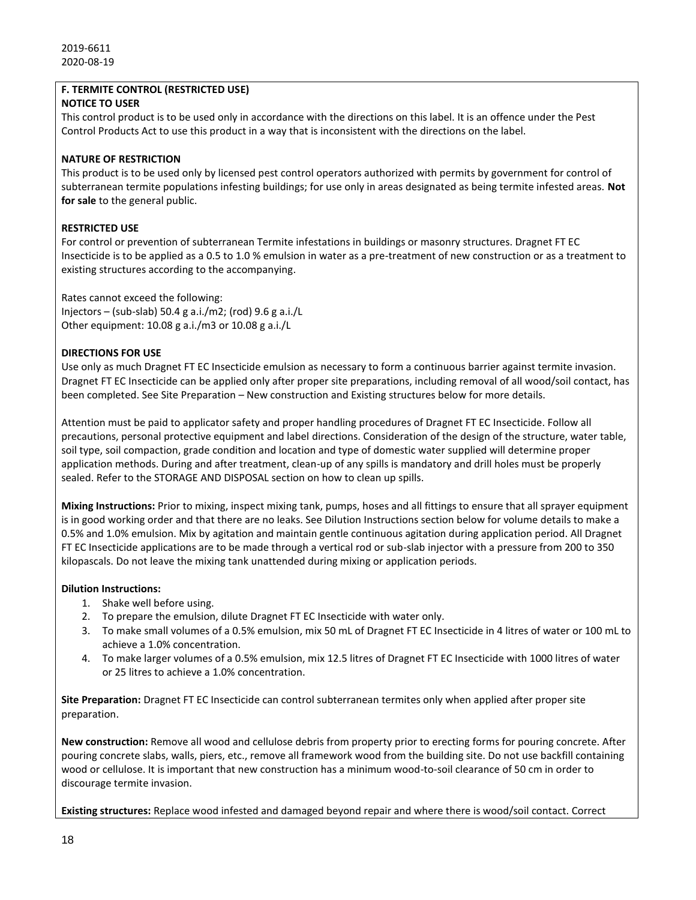# **F. TERMITE CONTROL (RESTRICTED USE)**

# **NOTICE TO USER**

This control product is to be used only in accordance with the directions on this label. It is an offence under the Pest Control Products Act to use this product in a way that is inconsistent with the directions on the label.

# **NATURE OF RESTRICTION**

This product is to be used only by licensed pest control operators authorized with permits by government for control of subterranean termite populations infesting buildings; for use only in areas designated as being termite infested areas. **Not for sale** to the general public.

# **RESTRICTED USE**

For control or prevention of subterranean Termite infestations in buildings or masonry structures. Dragnet FT EC Insecticide is to be applied as a 0.5 to 1.0 % emulsion in water as a pre-treatment of new construction or as a treatment to existing structures according to the accompanying.

Rates cannot exceed the following: Injectors – (sub-slab) 50.4 g a.i./m2; (rod) 9.6 g a.i./L Other equipment: 10.08 g a.i./m3 or 10.08 g a.i./L

# **DIRECTIONS FOR USE**

Use only as much Dragnet FT EC Insecticide emulsion as necessary to form a continuous barrier against termite invasion. Dragnet FT EC Insecticide can be applied only after proper site preparations, including removal of all wood/soil contact, has been completed. See Site Preparation – New construction and Existing structures below for more details.

Attention must be paid to applicator safety and proper handling procedures of Dragnet FT EC Insecticide. Follow all precautions, personal protective equipment and label directions. Consideration of the design of the structure, water table, soil type, soil compaction, grade condition and location and type of domestic water supplied will determine proper application methods. During and after treatment, clean-up of any spills is mandatory and drill holes must be properly sealed. Refer to the STORAGE AND DISPOSAL section on how to clean up spills.

**Mixing Instructions:** Prior to mixing, inspect mixing tank, pumps, hoses and all fittings to ensure that all sprayer equipment is in good working order and that there are no leaks. See Dilution Instructions section below for volume details to make a 0.5% and 1.0% emulsion. Mix by agitation and maintain gentle continuous agitation during application period. All Dragnet FT EC Insecticide applications are to be made through a vertical rod or sub-slab injector with a pressure from 200 to 350 kilopascals. Do not leave the mixing tank unattended during mixing or application periods.

# **Dilution Instructions:**

- 1. Shake well before using.
- 2. To prepare the emulsion, dilute Dragnet FT EC Insecticide with water only.
- 3. To make small volumes of a 0.5% emulsion, mix 50 mL of Dragnet FT EC Insecticide in 4 litres of water or 100 mL to achieve a 1.0% concentration.
- 4. To make larger volumes of a 0.5% emulsion, mix 12.5 litres of Dragnet FT EC Insecticide with 1000 litres of water or 25 litres to achieve a 1.0% concentration.

**Site Preparation:** Dragnet FT EC Insecticide can control subterranean termites only when applied after proper site preparation.

**New construction:** Remove all wood and cellulose debris from property prior to erecting forms for pouring concrete. After pouring concrete slabs, walls, piers, etc., remove all framework wood from the building site. Do not use backfill containing wood or cellulose. It is important that new construction has a minimum wood-to-soil clearance of 50 cm in order to discourage termite invasion.

**Existing structures:** Replace wood infested and damaged beyond repair and where there is wood/soil contact. Correct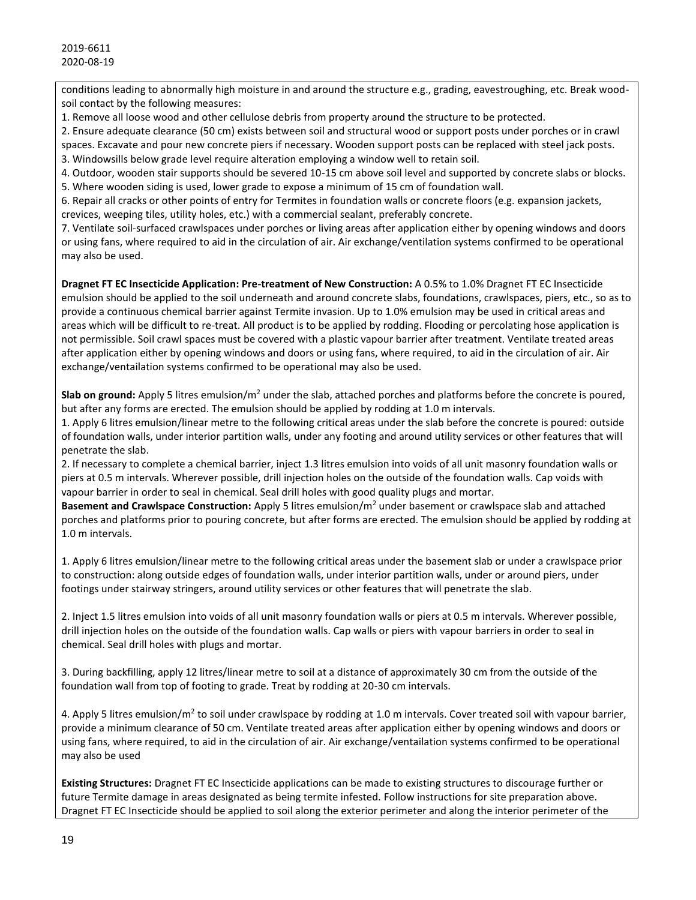conditions leading to abnormally high moisture in and around the structure e.g., grading, eavestroughing, etc. Break woodsoil contact by the following measures:

1. Remove all loose wood and other cellulose debris from property around the structure to be protected.

2. Ensure adequate clearance (50 cm) exists between soil and structural wood or support posts under porches or in crawl

spaces. Excavate and pour new concrete piers if necessary. Wooden support posts can be replaced with steel jack posts.

3. Windowsills below grade level require alteration employing a window well to retain soil.

4. Outdoor, wooden stair supports should be severed 10-15 cm above soil level and supported by concrete slabs or blocks. 5. Where wooden siding is used, lower grade to expose a minimum of 15 cm of foundation wall.

6. Repair all cracks or other points of entry for Termites in foundation walls or concrete floors (e.g. expansion jackets, crevices, weeping tiles, utility holes, etc.) with a commercial sealant, preferably concrete.

7. Ventilate soil-surfaced crawlspaces under porches or living areas after application either by opening windows and doors or using fans, where required to aid in the circulation of air. Air exchange/ventilation systems confirmed to be operational may also be used.

**Dragnet FT EC Insecticide Application: Pre-treatment of New Construction:** A 0.5% to 1.0% Dragnet FT EC Insecticide emulsion should be applied to the soil underneath and around concrete slabs, foundations, crawlspaces, piers, etc., so as to provide a continuous chemical barrier against Termite invasion. Up to 1.0% emulsion may be used in critical areas and areas which will be difficult to re-treat. All product is to be applied by rodding. Flooding or percolating hose application is not permissible. Soil crawl spaces must be covered with a plastic vapour barrier after treatment. Ventilate treated areas after application either by opening windows and doors or using fans, where required, to aid in the circulation of air. Air exchange/ventailation systems confirmed to be operational may also be used.

**Slab on ground:** Apply 5 litres emulsion/ $m^2$  under the slab, attached porches and platforms before the concrete is poured, but after any forms are erected. The emulsion should be applied by rodding at 1.0 m intervals.

1. Apply 6 litres emulsion/linear metre to the following critical areas under the slab before the concrete is poured: outside of foundation walls, under interior partition walls, under any footing and around utility services or other features that will penetrate the slab.

2. If necessary to complete a chemical barrier, inject 1.3 litres emulsion into voids of all unit masonry foundation walls or piers at 0.5 m intervals. Wherever possible, drill injection holes on the outside of the foundation walls. Cap voids with vapour barrier in order to seal in chemical. Seal drill holes with good quality plugs and mortar.

**Basement and Crawlspace Construction:** Apply 5 litres emulsion/m<sup>2</sup> under basement or crawlspace slab and attached porches and platforms prior to pouring concrete, but after forms are erected. The emulsion should be applied by rodding at 1.0 m intervals.

1. Apply 6 litres emulsion/linear metre to the following critical areas under the basement slab or under a crawlspace prior to construction: along outside edges of foundation walls, under interior partition walls, under or around piers, under footings under stairway stringers, around utility services or other features that will penetrate the slab.

2. Inject 1.5 litres emulsion into voids of all unit masonry foundation walls or piers at 0.5 m intervals. Wherever possible, drill injection holes on the outside of the foundation walls. Cap walls or piers with vapour barriers in order to seal in chemical. Seal drill holes with plugs and mortar.

3. During backfilling, apply 12 litres/linear metre to soil at a distance of approximately 30 cm from the outside of the foundation wall from top of footing to grade. Treat by rodding at 20-30 cm intervals.

4. Apply 5 litres emulsion/m<sup>2</sup> to soil under crawlspace by rodding at 1.0 m intervals. Cover treated soil with vapour barrier, provide a minimum clearance of 50 cm. Ventilate treated areas after application either by opening windows and doors or using fans, where required, to aid in the circulation of air. Air exchange/ventailation systems confirmed to be operational may also be used

**Existing Structures:** Dragnet FT EC Insecticide applications can be made to existing structures to discourage further or future Termite damage in areas designated as being termite infested. Follow instructions for site preparation above. Dragnet FT EC Insecticide should be applied to soil along the exterior perimeter and along the interior perimeter of the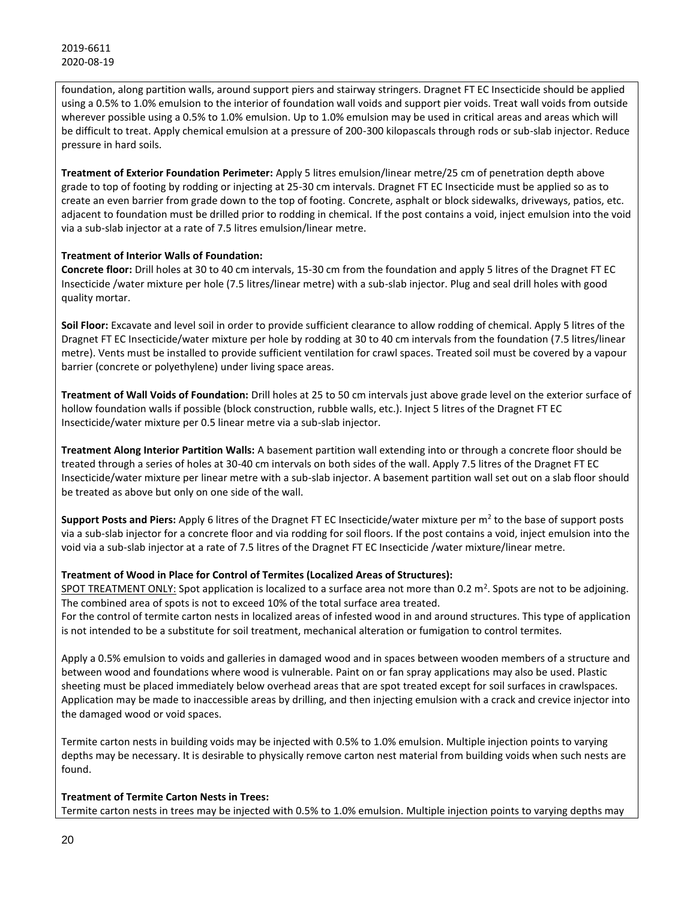foundation, along partition walls, around support piers and stairway stringers. Dragnet FT EC Insecticide should be applied using a 0.5% to 1.0% emulsion to the interior of foundation wall voids and support pier voids. Treat wall voids from outside wherever possible using a 0.5% to 1.0% emulsion. Up to 1.0% emulsion may be used in critical areas and areas which will be difficult to treat. Apply chemical emulsion at a pressure of 200-300 kilopascals through rods or sub-slab injector. Reduce pressure in hard soils.

**Treatment of Exterior Foundation Perimeter:** Apply 5 litres emulsion/linear metre/25 cm of penetration depth above grade to top of footing by rodding or injecting at 25-30 cm intervals. Dragnet FT EC Insecticide must be applied so as to create an even barrier from grade down to the top of footing. Concrete, asphalt or block sidewalks, driveways, patios, etc. adjacent to foundation must be drilled prior to rodding in chemical. If the post contains a void, inject emulsion into the void via a sub-slab injector at a rate of 7.5 litres emulsion/linear metre.

# **Treatment of Interior Walls of Foundation:**

**Concrete floor:** Drill holes at 30 to 40 cm intervals, 15-30 cm from the foundation and apply 5 litres of the Dragnet FT EC Insecticide /water mixture per hole (7.5 litres/linear metre) with a sub-slab injector. Plug and seal drill holes with good quality mortar.

**Soil Floor:** Excavate and level soil in order to provide sufficient clearance to allow rodding of chemical. Apply 5 litres of the Dragnet FT EC Insecticide/water mixture per hole by rodding at 30 to 40 cm intervals from the foundation (7.5 litres/linear metre). Vents must be installed to provide sufficient ventilation for crawl spaces. Treated soil must be covered by a vapour barrier (concrete or polyethylene) under living space areas.

**Treatment of Wall Voids of Foundation:** Drill holes at 25 to 50 cm intervals just above grade level on the exterior surface of hollow foundation walls if possible (block construction, rubble walls, etc.). Inject 5 litres of the Dragnet FT EC Insecticide/water mixture per 0.5 linear metre via a sub-slab injector.

**Treatment Along Interior Partition Walls:** A basement partition wall extending into or through a concrete floor should be treated through a series of holes at 30-40 cm intervals on both sides of the wall. Apply 7.5 litres of the Dragnet FT EC Insecticide/water mixture per linear metre with a sub-slab injector. A basement partition wall set out on a slab floor should be treated as above but only on one side of the wall.

Support Posts and Piers: Apply 6 litres of the Dragnet FT EC Insecticide/water mixture per m<sup>2</sup> to the base of support posts via a sub-slab injector for a concrete floor and via rodding for soil floors. If the post contains a void, inject emulsion into the void via a sub-slab injector at a rate of 7.5 litres of the Dragnet FT EC Insecticide /water mixture/linear metre.

# **Treatment of Wood in Place for Control of Termites (Localized Areas of Structures):**

SPOT TREATMENT ONLY: Spot application is localized to a surface area not more than 0.2 m<sup>2</sup>. Spots are not to be adjoining. The combined area of spots is not to exceed 10% of the total surface area treated.

For the control of termite carton nests in localized areas of infested wood in and around structures. This type of application is not intended to be a substitute for soil treatment, mechanical alteration or fumigation to control termites.

Apply a 0.5% emulsion to voids and galleries in damaged wood and in spaces between wooden members of a structure and between wood and foundations where wood is vulnerable. Paint on or fan spray applications may also be used. Plastic sheeting must be placed immediately below overhead areas that are spot treated except for soil surfaces in crawlspaces. Application may be made to inaccessible areas by drilling, and then injecting emulsion with a crack and crevice injector into the damaged wood or void spaces.

Termite carton nests in building voids may be injected with 0.5% to 1.0% emulsion. Multiple injection points to varying depths may be necessary. It is desirable to physically remove carton nest material from building voids when such nests are found.

# **Treatment of Termite Carton Nests in Trees:**

Termite carton nests in trees may be injected with 0.5% to 1.0% emulsion. Multiple injection points to varying depths may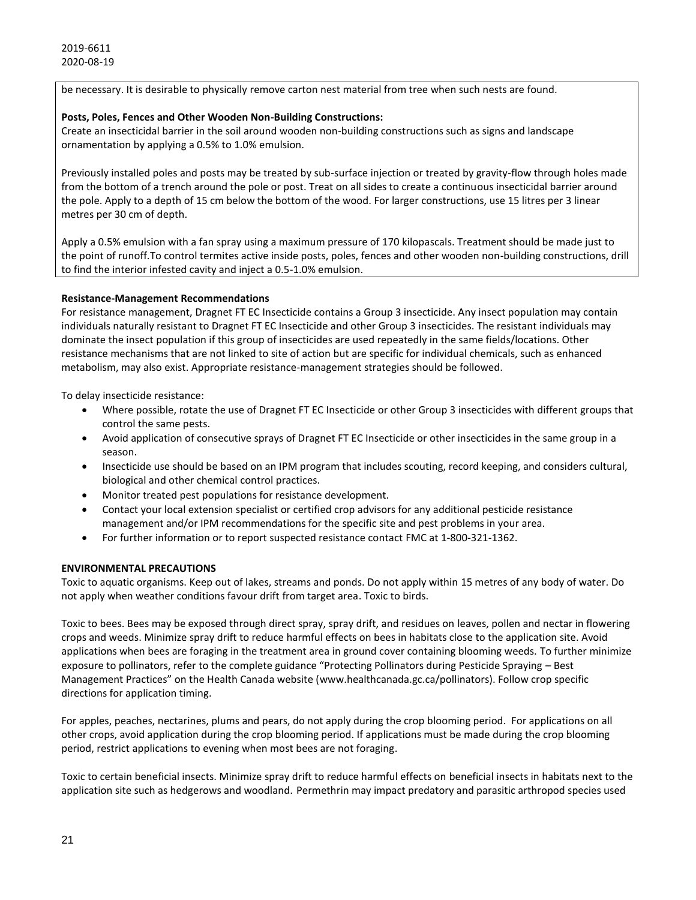be necessary. It is desirable to physically remove carton nest material from tree when such nests are found.

#### **Posts, Poles, Fences and Other Wooden Non-Building Constructions:**

Create an insecticidal barrier in the soil around wooden non-building constructions such as signs and landscape ornamentation by applying a 0.5% to 1.0% emulsion.

Previously installed poles and posts may be treated by sub-surface injection or treated by gravity-flow through holes made from the bottom of a trench around the pole or post. Treat on all sides to create a continuous insecticidal barrier around the pole. Apply to a depth of 15 cm below the bottom of the wood. For larger constructions, use 15 litres per 3 linear metres per 30 cm of depth.

Apply a 0.5% emulsion with a fan spray using a maximum pressure of 170 kilopascals. Treatment should be made just to the point of runoff.
To control termites active inside posts, poles, fences and other wooden non-building constructions, drill to find the interior infested cavity and inject a 0.5-1.0% emulsion.

#### **Resistance-Management Recommendations**

For resistance management, Dragnet FT EC Insecticide contains a Group 3 insecticide. Any insect population may contain individuals naturally resistant to Dragnet FT EC Insecticide and other Group 3 insecticides. The resistant individuals may dominate the insect population if this group of insecticides are used repeatedly in the same fields/locations. Other resistance mechanisms that are not linked to site of action but are specific for individual chemicals, such as enhanced metabolism, may also exist. Appropriate resistance-management strategies should be followed.

To delay insecticide resistance:

- Where possible, rotate the use of Dragnet FT EC Insecticide or other Group 3 insecticides with different groups that control the same pests.
- Avoid application of consecutive sprays of Dragnet FT EC Insecticide or other insecticides in the same group in a season.
- Insecticide use should be based on an IPM program that includes scouting, record keeping, and considers cultural, biological and other chemical control practices.
- Monitor treated pest populations for resistance development.
- Contact your local extension specialist or certified crop advisors for any additional pesticide resistance management and/or IPM recommendations for the specific site and pest problems in your area.
- For further information or to report suspected resistance contact FMC at 1-800-321-1362.

# **ENVIRONMENTAL PRECAUTIONS**

Toxic to aquatic organisms. Keep out of lakes, streams and ponds. Do not apply within 15 metres of any body of water. Do not apply when weather conditions favour drift from target area. Toxic to birds.

Toxic to bees. Bees may be exposed through direct spray, spray drift, and residues on leaves, pollen and nectar in flowering crops and weeds. Minimize spray drift to reduce harmful effects on bees in habitats close to the application site. Avoid applications when bees are foraging in the treatment area in ground cover containing blooming weeds. To further minimize exposure to pollinators, refer to the complete guidance "Protecting Pollinators during Pesticide Spraying – Best Management Practices" on the Health Canada website (www.healthcanada.gc.ca/pollinators). Follow crop specific directions for application timing.

For apples, peaches, nectarines, plums and pears, do not apply during the crop blooming period. For applications on all other crops, avoid application during the crop blooming period. If applications must be made during the crop blooming period, restrict applications to evening when most bees are not foraging.

Toxic to certain beneficial insects. Minimize spray drift to reduce harmful effects on beneficial insects in habitats next to the application site such as hedgerows and woodland. Permethrin may impact predatory and parasitic arthropod species used